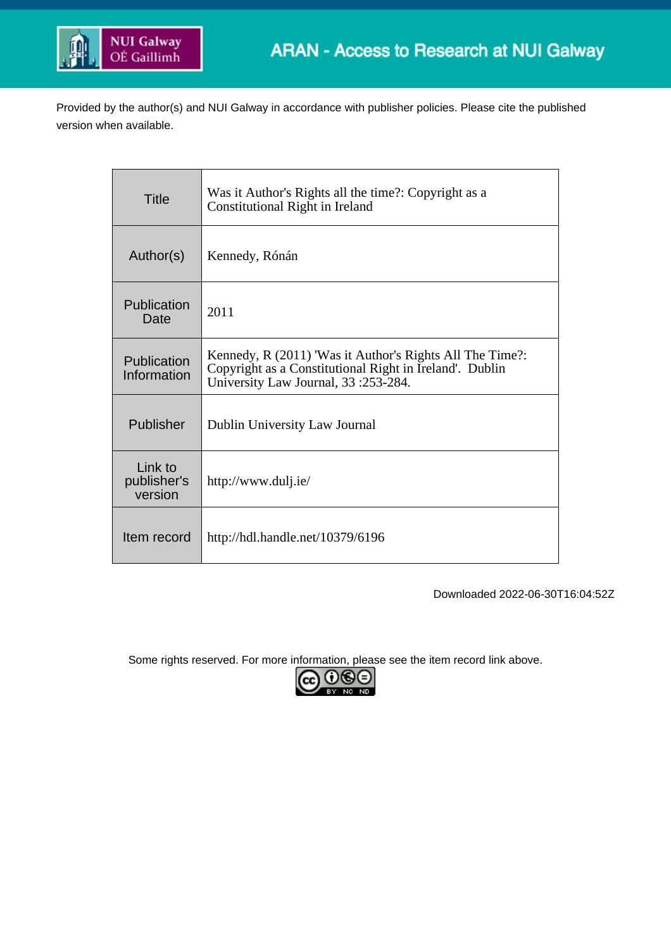

Provided by the author(s) and NUI Galway in accordance with publisher policies. Please cite the published version when available.

| <b>Title</b>                      | Was it Author's Rights all the time?: Copyright as a<br>Constitutional Right in Ireland                                                                    |
|-----------------------------------|------------------------------------------------------------------------------------------------------------------------------------------------------------|
| Author(s)                         | Kennedy, Rónán                                                                                                                                             |
| Publication<br>Date               | 2011                                                                                                                                                       |
| Publication<br>Information        | Kennedy, R (2011) 'Was it Author's Rights All The Time?:<br>Copyright as a Constitutional Right in Ireland'. Dublin<br>University Law Journal, 33:253-284. |
| Publisher                         | Dublin University Law Journal                                                                                                                              |
| Link to<br>publisher's<br>version | http://www.dulj.ie/                                                                                                                                        |
| Item record                       | http://hdl.handle.net/10379/6196                                                                                                                           |

Downloaded 2022-06-30T16:04:52Z

Some rights reserved. For more information, please see the item record link above.

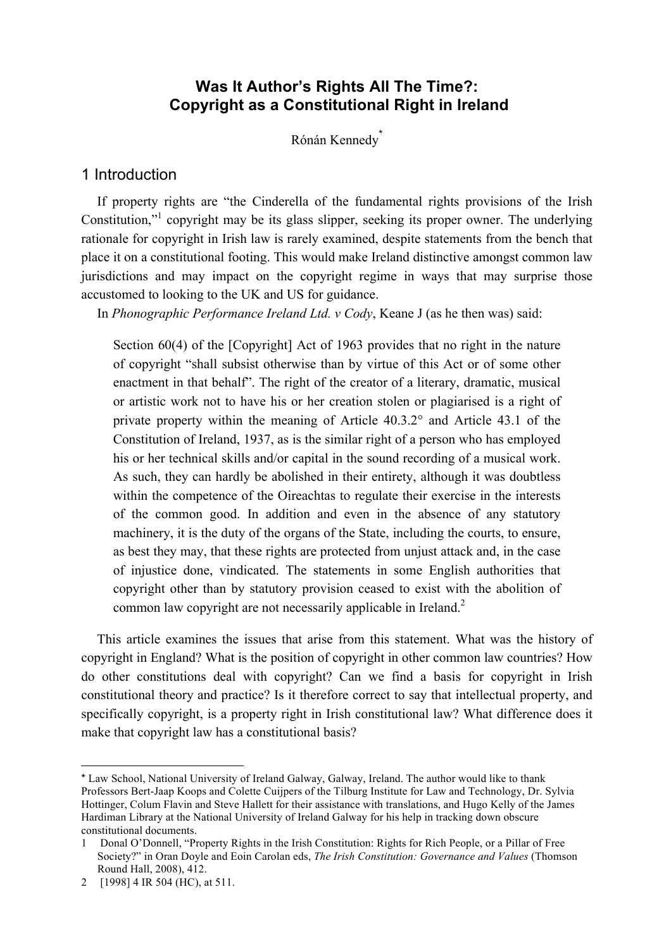## **Was It Author's Rights All The Time?: Copyright as a Constitutional Right in Ireland**

Rónán Kennedy<sup>®</sup>

#### 1 Introduction

If property rights are "the Cinderella of the fundamental rights provisions of the Irish Constitution,"<sup>1</sup> copyright may be its glass slipper, seeking its proper owner. The underlying rationale for copyright in Irish law is rarely examined, despite statements from the bench that place it on a constitutional footing. This would make Ireland distinctive amongst common law jurisdictions and may impact on the copyright regime in ways that may surprise those accustomed to looking to the UK and US for guidance.

In *Phonographic Performance Ireland Ltd. v Cody*, Keane J (as he then was) said:

Section 60(4) of the [Copyright] Act of 1963 provides that no right in the nature of copyright "shall subsist otherwise than by virtue of this Act or of some other enactment in that behalf". The right of the creator of a literary, dramatic, musical or artistic work not to have his or her creation stolen or plagiarised is a right of private property within the meaning of Article 40.3.2° and Article 43.1 of the Constitution of Ireland, 1937, as is the similar right of a person who has employed his or her technical skills and/or capital in the sound recording of a musical work. As such, they can hardly be abolished in their entirety, although it was doubtless within the competence of the Oireachtas to regulate their exercise in the interests of the common good. In addition and even in the absence of any statutory machinery, it is the duty of the organs of the State, including the courts, to ensure, as best they may, that these rights are protected from unjust attack and, in the case of injustice done, vindicated. The statements in some English authorities that copyright other than by statutory provision ceased to exist with the abolition of common law copyright are not necessarily applicable in Ireland.<sup>2</sup>

This article examines the issues that arise from this statement. What was the history of copyright in England? What is the position of copyright in other common law countries? How do other constitutions deal with copyright? Can we find a basis for copyright in Irish constitutional theory and practice? Is it therefore correct to say that intellectual property, and specifically copyright, is a property right in Irish constitutional law? What difference does it make that copyright law has a constitutional basis?

<sup>\*</sup> Law School, National University of Ireland Galway, Galway, Ireland. The author would like to thank Professors Bert-Jaap Koops and Colette Cuijpers of the Tilburg Institute for Law and Technology, Dr. Sylvia Hottinger, Colum Flavin and Steve Hallett for their assistance with translations, and Hugo Kelly of the James Hardiman Library at the National University of Ireland Galway for his help in tracking down obscure constitutional documents.

<sup>1</sup> Donal O'Donnell, "Property Rights in the Irish Constitution: Rights for Rich People, or a Pillar of Free Society?" in Oran Doyle and Eoin Carolan eds, *The Irish Constitution: Governance and Values* (Thomson Round Hall, 2008), 412.

<sup>2 [1998] 4</sup> IR 504 (HC), at 511.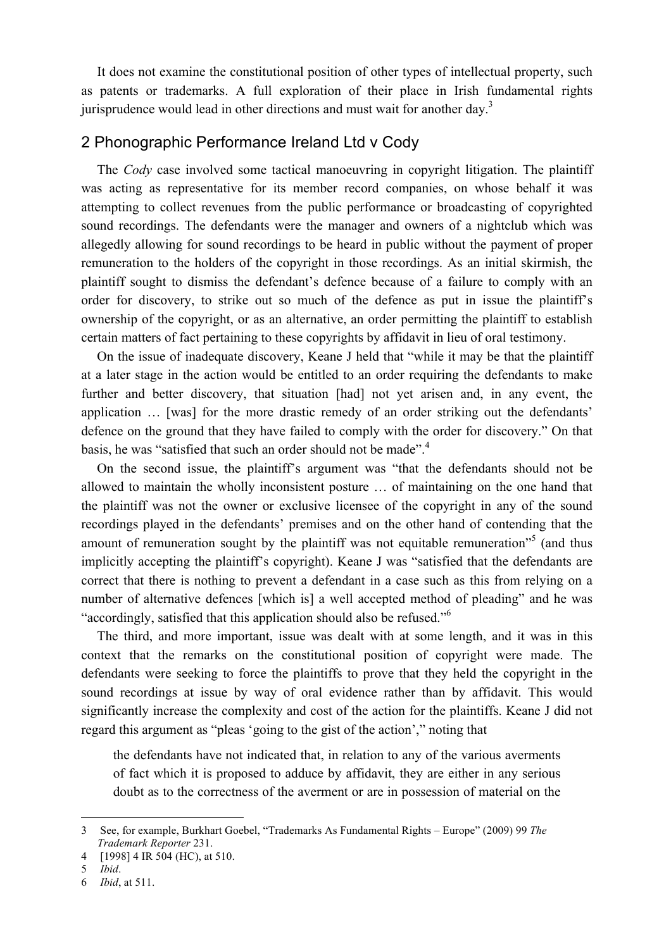It does not examine the constitutional position of other types of intellectual property, such as patents or trademarks. A full exploration of their place in Irish fundamental rights jurisprudence would lead in other directions and must wait for another day.<sup>3</sup>

### 2 Phonographic Performance Ireland Ltd v Cody

The *Cody* case involved some tactical manoeuvring in copyright litigation. The plaintiff was acting as representative for its member record companies, on whose behalf it was attempting to collect revenues from the public performance or broadcasting of copyrighted sound recordings. The defendants were the manager and owners of a nightclub which was allegedly allowing for sound recordings to be heard in public without the payment of proper remuneration to the holders of the copyright in those recordings. As an initial skirmish, the plaintiff sought to dismiss the defendant's defence because of a failure to comply with an order for discovery, to strike out so much of the defence as put in issue the plaintiff's ownership of the copyright, or as an alternative, an order permitting the plaintiff to establish certain matters of fact pertaining to these copyrights by affidavit in lieu of oral testimony.

On the issue of inadequate discovery, Keane J held that "while it may be that the plaintiff at a later stage in the action would be entitled to an order requiring the defendants to make further and better discovery, that situation [had] not yet arisen and, in any event, the application … [was] for the more drastic remedy of an order striking out the defendants' defence on the ground that they have failed to comply with the order for discovery." On that basis, he was "satisfied that such an order should not be made".<sup>4</sup>

On the second issue, the plaintiff's argument was "that the defendants should not be allowed to maintain the wholly inconsistent posture … of maintaining on the one hand that the plaintiff was not the owner or exclusive licensee of the copyright in any of the sound recordings played in the defendants' premises and on the other hand of contending that the amount of remuneration sought by the plaintiff was not equitable remuneration<sup>55</sup> (and thus implicitly accepting the plaintiff's copyright). Keane J was "satisfied that the defendants are correct that there is nothing to prevent a defendant in a case such as this from relying on a number of alternative defences [which is] a well accepted method of pleading" and he was "accordingly, satisfied that this application should also be refused."<sup>6</sup>

The third, and more important, issue was dealt with at some length, and it was in this context that the remarks on the constitutional position of copyright were made. The defendants were seeking to force the plaintiffs to prove that they held the copyright in the sound recordings at issue by way of oral evidence rather than by affidavit. This would significantly increase the complexity and cost of the action for the plaintiffs. Keane J did not regard this argument as "pleas 'going to the gist of the action'," noting that

the defendants have not indicated that, in relation to any of the various averments of fact which it is proposed to adduce by affidavit, they are either in any serious doubt as to the correctness of the averment or are in possession of material on the

 <sup>3</sup> See, for example, Burkhart Goebel, "Trademarks As Fundamental Rights – Europe" (2009) 99 *The Trademark Reporter* 231.

<sup>4 [1998] 4</sup> IR 504 (HC), at 510.

<sup>5</sup> *Ibid*.

<sup>6</sup> *Ibid*, at 511.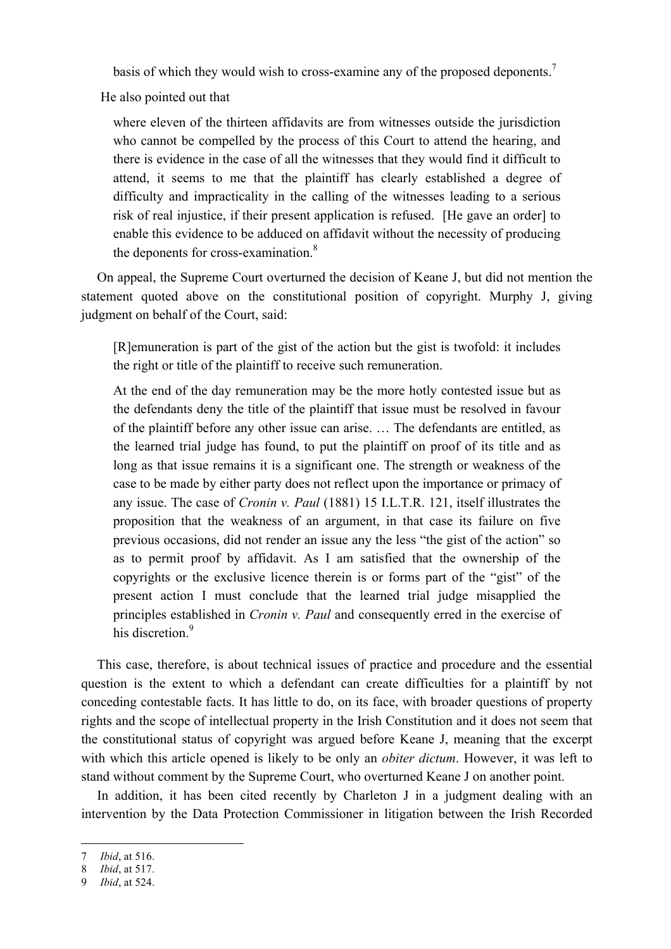basis of which they would wish to cross-examine any of the proposed deponents.<sup>7</sup>

He also pointed out that

where eleven of the thirteen affidavits are from witnesses outside the jurisdiction who cannot be compelled by the process of this Court to attend the hearing, and there is evidence in the case of all the witnesses that they would find it difficult to attend, it seems to me that the plaintiff has clearly established a degree of difficulty and impracticality in the calling of the witnesses leading to a serious risk of real injustice, if their present application is refused. [He gave an order] to enable this evidence to be adduced on affidavit without the necessity of producing the deponents for cross-examination.<sup>8</sup>

On appeal, the Supreme Court overturned the decision of Keane J, but did not mention the statement quoted above on the constitutional position of copyright. Murphy J, giving judgment on behalf of the Court, said:

[R]emuneration is part of the gist of the action but the gist is twofold: it includes the right or title of the plaintiff to receive such remuneration.

At the end of the day remuneration may be the more hotly contested issue but as the defendants deny the title of the plaintiff that issue must be resolved in favour of the plaintiff before any other issue can arise. … The defendants are entitled, as the learned trial judge has found, to put the plaintiff on proof of its title and as long as that issue remains it is a significant one. The strength or weakness of the case to be made by either party does not reflect upon the importance or primacy of any issue. The case of *Cronin v. Paul* (1881) 15 I.L.T.R. 121, itself illustrates the proposition that the weakness of an argument, in that case its failure on five previous occasions, did not render an issue any the less "the gist of the action" so as to permit proof by affidavit. As I am satisfied that the ownership of the copyrights or the exclusive licence therein is or forms part of the "gist" of the present action I must conclude that the learned trial judge misapplied the principles established in *Cronin v. Paul* and consequently erred in the exercise of his discretion<sup>9</sup>

This case, therefore, is about technical issues of practice and procedure and the essential question is the extent to which a defendant can create difficulties for a plaintiff by not conceding contestable facts. It has little to do, on its face, with broader questions of property rights and the scope of intellectual property in the Irish Constitution and it does not seem that the constitutional status of copyright was argued before Keane J, meaning that the excerpt with which this article opened is likely to be only an *obiter dictum*. However, it was left to stand without comment by the Supreme Court, who overturned Keane J on another point.

In addition, it has been cited recently by Charleton J in a judgment dealing with an intervention by the Data Protection Commissioner in litigation between the Irish Recorded

 <sup>7</sup> *Ibid*, at 516.

<sup>8</sup> *Ibid*, at 517.

<sup>9</sup> *Ibid*, at 524.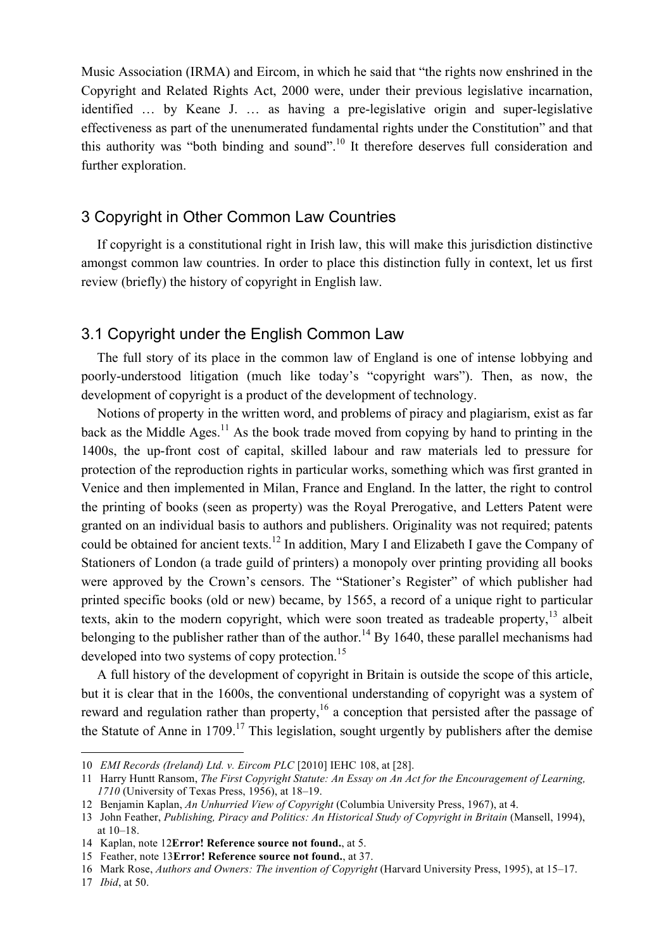Music Association (IRMA) and Eircom, in which he said that "the rights now enshrined in the Copyright and Related Rights Act, 2000 were, under their previous legislative incarnation, identified … by Keane J. … as having a pre-legislative origin and super-legislative effectiveness as part of the unenumerated fundamental rights under the Constitution" and that this authority was "both binding and sound".10 It therefore deserves full consideration and further exploration.

### 3 Copyright in Other Common Law Countries

If copyright is a constitutional right in Irish law, this will make this jurisdiction distinctive amongst common law countries. In order to place this distinction fully in context, let us first review (briefly) the history of copyright in English law.

#### 3.1 Copyright under the English Common Law

The full story of its place in the common law of England is one of intense lobbying and poorly-understood litigation (much like today's "copyright wars"). Then, as now, the development of copyright is a product of the development of technology.

Notions of property in the written word, and problems of piracy and plagiarism, exist as far back as the Middle Ages.<sup>11</sup> As the book trade moved from copying by hand to printing in the 1400s, the up-front cost of capital, skilled labour and raw materials led to pressure for protection of the reproduction rights in particular works, something which was first granted in Venice and then implemented in Milan, France and England. In the latter, the right to control the printing of books (seen as property) was the Royal Prerogative, and Letters Patent were granted on an individual basis to authors and publishers. Originality was not required; patents could be obtained for ancient texts.<sup>12</sup> In addition, Mary I and Elizabeth I gave the Company of Stationers of London (a trade guild of printers) a monopoly over printing providing all books were approved by the Crown's censors. The "Stationer's Register" of which publisher had printed specific books (old or new) became, by 1565, a record of a unique right to particular texts, akin to the modern copyright, which were soon treated as tradeable property,<sup>13</sup> albeit belonging to the publisher rather than of the author.<sup>14</sup> By 1640, these parallel mechanisms had developed into two systems of copy protection.<sup>15</sup>

A full history of the development of copyright in Britain is outside the scope of this article, but it is clear that in the 1600s, the conventional understanding of copyright was a system of reward and regulation rather than property,<sup>16</sup> a conception that persisted after the passage of the Statute of Anne in  $1709$ <sup>17</sup>. This legislation, sought urgently by publishers after the demise

 <sup>10</sup> *EMI Records (Ireland) Ltd. v. Eircom PLC* [2010] IEHC 108, at [28].

<sup>11</sup> Harry Huntt Ransom, *The First Copyright Statute: An Essay on An Act for the Encouragement of Learning, 1710* (University of Texas Press, 1956), at 18–19.

<sup>12</sup> Benjamin Kaplan, *An Unhurried View of Copyright* (Columbia University Press, 1967), at 4.

<sup>13</sup> John Feather, *Publishing, Piracy and Politics: An Historical Study of Copyright in Britain* (Mansell, 1994), at 10–18.

<sup>14</sup> Kaplan, note 12**Error! Reference source not found.**, at 5.

<sup>15</sup> Feather, note 13**Error! Reference source not found.**, at 37.

<sup>16</sup> Mark Rose, *Authors and Owners: The invention of Copyright* (Harvard University Press, 1995), at 15–17.

<sup>17</sup> *Ibid*, at 50.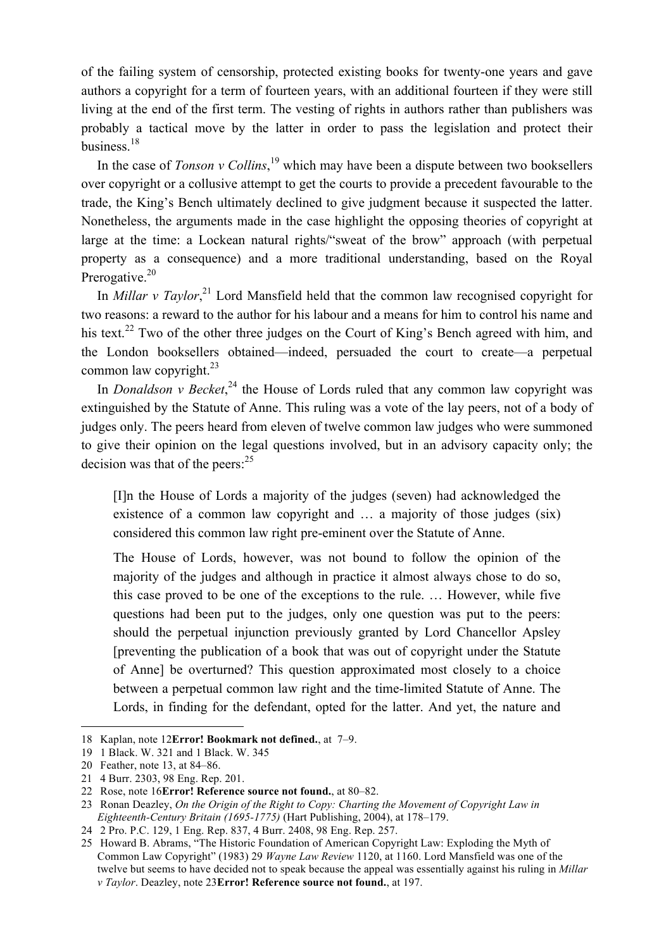of the failing system of censorship, protected existing books for twenty-one years and gave authors a copyright for a term of fourteen years, with an additional fourteen if they were still living at the end of the first term. The vesting of rights in authors rather than publishers was probably a tactical move by the latter in order to pass the legislation and protect their business $18$ 

In the case of *Tonson v Collins*, 19 which may have been a dispute between two booksellers over copyright or a collusive attempt to get the courts to provide a precedent favourable to the trade, the King's Bench ultimately declined to give judgment because it suspected the latter. Nonetheless, the arguments made in the case highlight the opposing theories of copyright at large at the time: a Lockean natural rights/"sweat of the brow" approach (with perpetual property as a consequence) and a more traditional understanding, based on the Royal Prerogative.<sup>20</sup>

In *Millar v Taylor*<sup>21</sup>, Lord Mansfield held that the common law recognised copyright for two reasons: a reward to the author for his labour and a means for him to control his name and his text.<sup>22</sup> Two of the other three judges on the Court of King's Bench agreed with him, and the London booksellers obtained—indeed, persuaded the court to create—a perpetual common law copyright. $^{23}$ 

In *Donaldson v Becket*<sup>24</sup>, the House of Lords ruled that any common law copyright was extinguished by the Statute of Anne. This ruling was a vote of the lay peers, not of a body of judges only. The peers heard from eleven of twelve common law judges who were summoned to give their opinion on the legal questions involved, but in an advisory capacity only; the decision was that of the peers:  $25$ 

[I]n the House of Lords a majority of the judges (seven) had acknowledged the existence of a common law copyright and … a majority of those judges (six) considered this common law right pre-eminent over the Statute of Anne.

The House of Lords, however, was not bound to follow the opinion of the majority of the judges and although in practice it almost always chose to do so, this case proved to be one of the exceptions to the rule. … However, while five questions had been put to the judges, only one question was put to the peers: should the perpetual injunction previously granted by Lord Chancellor Apsley [preventing the publication of a book that was out of copyright under the Statute of Anne] be overturned? This question approximated most closely to a choice between a perpetual common law right and the time-limited Statute of Anne. The Lords, in finding for the defendant, opted for the latter. And yet, the nature and

 <sup>18</sup> Kaplan, note 12**Error! Bookmark not defined.**, at 7–9.

<sup>19 1</sup> Black. W. 321 and 1 Black. W. 345

<sup>20</sup> Feather, note 13, at 84–86.

<sup>21 4</sup> Burr. 2303, 98 Eng. Rep. 201.

<sup>22</sup> Rose, note 16**Error! Reference source not found.**, at 80–82.

<sup>23</sup> Ronan Deazley, *On the Origin of the Right to Copy: Charting the Movement of Copyright Law in Eighteenth-Century Britain (1695-1775)* (Hart Publishing, 2004), at 178–179.

<sup>24 2</sup> Pro. P.C. 129, 1 Eng. Rep. 837, 4 Burr. 2408, 98 Eng. Rep. 257.

<sup>25</sup> Howard B. Abrams, "The Historic Foundation of American Copyright Law: Exploding the Myth of Common Law Copyright" (1983) 29 *Wayne Law Review* 1120, at 1160. Lord Mansfield was one of the twelve but seems to have decided not to speak because the appeal was essentially against his ruling in *Millar v Taylor*. Deazley, note 23**Error! Reference source not found.**, at 197.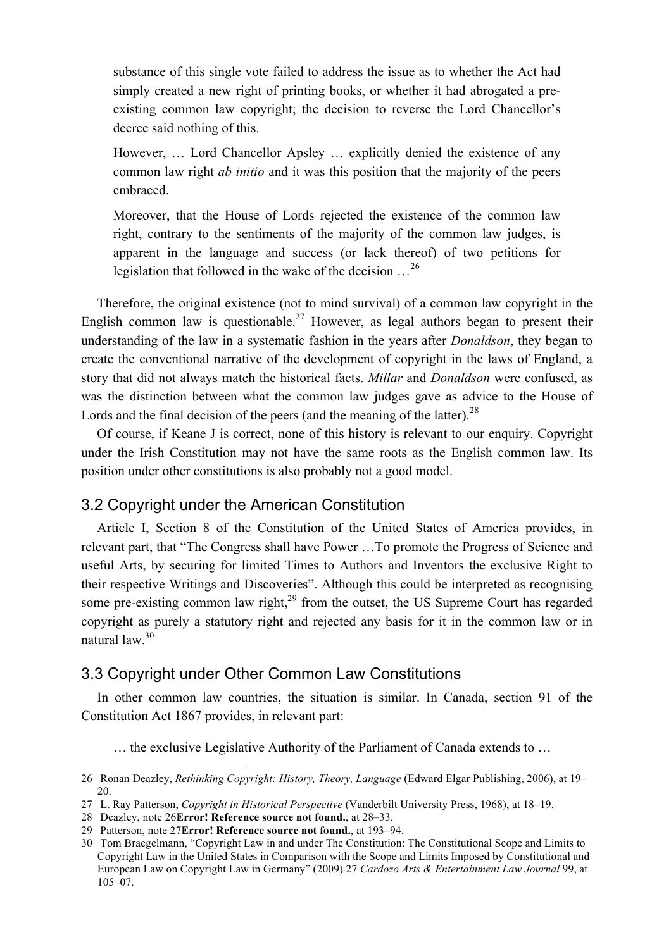substance of this single vote failed to address the issue as to whether the Act had simply created a new right of printing books, or whether it had abrogated a preexisting common law copyright; the decision to reverse the Lord Chancellor's decree said nothing of this.

However, … Lord Chancellor Apsley … explicitly denied the existence of any common law right *ab initio* and it was this position that the majority of the peers embraced.

Moreover, that the House of Lords rejected the existence of the common law right, contrary to the sentiments of the majority of the common law judges, is apparent in the language and success (or lack thereof) of two petitions for legislation that followed in the wake of the decision …<sup>26</sup>

Therefore, the original existence (not to mind survival) of a common law copyright in the English common law is questionable.<sup>27</sup> However, as legal authors began to present their understanding of the law in a systematic fashion in the years after *Donaldson*, they began to create the conventional narrative of the development of copyright in the laws of England, a story that did not always match the historical facts. *Millar* and *Donaldson* were confused, as was the distinction between what the common law judges gave as advice to the House of Lords and the final decision of the peers (and the meaning of the latter).<sup>28</sup>

Of course, if Keane J is correct, none of this history is relevant to our enquiry. Copyright under the Irish Constitution may not have the same roots as the English common law. Its position under other constitutions is also probably not a good model.

## 3.2 Copyright under the American Constitution

Article I, Section 8 of the Constitution of the United States of America provides, in relevant part, that "The Congress shall have Power …To promote the Progress of Science and useful Arts, by securing for limited Times to Authors and Inventors the exclusive Right to their respective Writings and Discoveries". Although this could be interpreted as recognising some pre-existing common law right, $29$  from the outset, the US Supreme Court has regarded copyright as purely a statutory right and rejected any basis for it in the common law or in natural law.30

### 3.3 Copyright under Other Common Law Constitutions

In other common law countries, the situation is similar. In Canada, section 91 of the Constitution Act 1867 provides, in relevant part:

… the exclusive Legislative Authority of the Parliament of Canada extends to …

<sup>26</sup> Ronan Deazley, *Rethinking Copyright: History, Theory, Language* (Edward Elgar Publishing, 2006), at 19– 20.

<sup>27</sup> L. Ray Patterson, *Copyright in Historical Perspective* (Vanderbilt University Press, 1968), at 18–19.

<sup>28</sup> Deazley, note 26**Error! Reference source not found.**, at 28–33.

<sup>29</sup> Patterson, note 27**Error! Reference source not found.**, at 193–94.

<sup>30</sup> Tom Braegelmann, "Copyright Law in and under The Constitution: The Constitutional Scope and Limits to Copyright Law in the United States in Comparison with the Scope and Limits Imposed by Constitutional and European Law on Copyright Law in Germany" (2009) 27 *Cardozo Arts & Entertainment Law Journal* 99, at 105–07.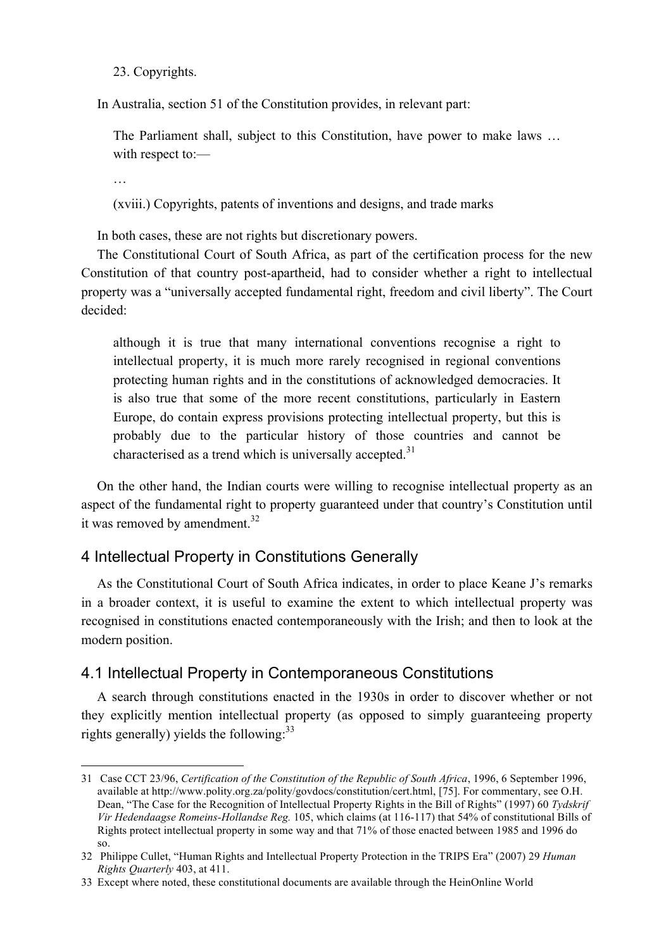23. Copyrights.

In Australia, section 51 of the Constitution provides, in relevant part:

The Parliament shall, subject to this Constitution, have power to make laws ... with respect to:—

…

 $\overline{a}$ 

(xviii.) Copyrights, patents of inventions and designs, and trade marks

In both cases, these are not rights but discretionary powers.

The Constitutional Court of South Africa, as part of the certification process for the new Constitution of that country post-apartheid, had to consider whether a right to intellectual property was a "universally accepted fundamental right, freedom and civil liberty". The Court decided:

although it is true that many international conventions recognise a right to intellectual property, it is much more rarely recognised in regional conventions protecting human rights and in the constitutions of acknowledged democracies. It is also true that some of the more recent constitutions, particularly in Eastern Europe, do contain express provisions protecting intellectual property, but this is probably due to the particular history of those countries and cannot be characterised as a trend which is universally accepted. $31$ 

On the other hand, the Indian courts were willing to recognise intellectual property as an aspect of the fundamental right to property guaranteed under that country's Constitution until it was removed by amendment.<sup>32</sup>

### 4 Intellectual Property in Constitutions Generally

As the Constitutional Court of South Africa indicates, in order to place Keane J's remarks in a broader context, it is useful to examine the extent to which intellectual property was recognised in constitutions enacted contemporaneously with the Irish; and then to look at the modern position.

### 4.1 Intellectual Property in Contemporaneous Constitutions

A search through constitutions enacted in the 1930s in order to discover whether or not they explicitly mention intellectual property (as opposed to simply guaranteeing property rights generally) yields the following: $^{33}$ 

<sup>31</sup> Case CCT 23/96, *Certification of the Constitution of the Republic of South Africa*, 1996, 6 September 1996, available at http://www.polity.org.za/polity/govdocs/constitution/cert.html, [75]. For commentary, see O.H. Dean, "The Case for the Recognition of Intellectual Property Rights in the Bill of Rights" (1997) 60 *Tydskrif Vir Hedendaagse Romeins-Hollandse Reg.* 105, which claims (at 116-117) that 54% of constitutional Bills of Rights protect intellectual property in some way and that 71% of those enacted between 1985 and 1996 do so.

<sup>32</sup> Philippe Cullet, "Human Rights and Intellectual Property Protection in the TRIPS Era" (2007) 29 *Human Rights Quarterly* 403, at 411.

<sup>33</sup> Except where noted, these constitutional documents are available through the HeinOnline World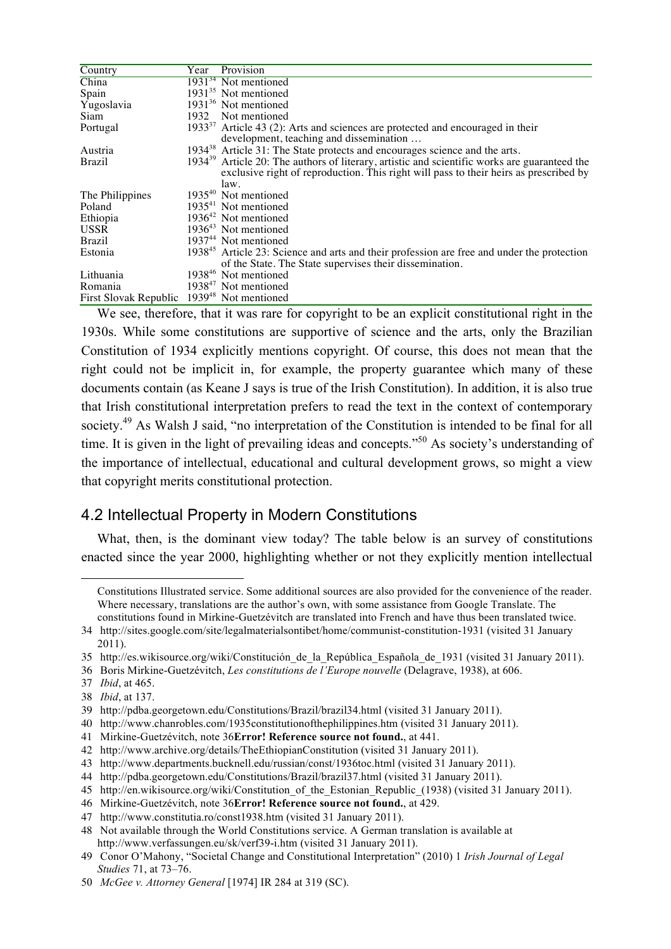| Country                                                | Year | Provision                                                                                              |
|--------------------------------------------------------|------|--------------------------------------------------------------------------------------------------------|
| China                                                  |      | $193134$ Not mentioned                                                                                 |
| Spain                                                  |      | $1931^{35}$ Not mentioned                                                                              |
| Yugoslavia                                             |      | 1931 <sup>36</sup> Not mentioned                                                                       |
| Siam                                                   | 1932 | Not mentioned                                                                                          |
| Portugal                                               |      | 1933 $37$ Article 43 (2): Arts and sciences are protected and encouraged in their                      |
|                                                        |      | development, teaching and dissemination                                                                |
| Austria                                                |      | $1934^{38}$ Article 31: The State protects and encourages science and the arts.                        |
| <b>Brazil</b>                                          |      | $193439$ Article 20: The authors of literary, artistic and scientific works are guaranteed the         |
|                                                        |      | exclusive right of reproduction. This right will pass to their heirs as prescribed by                  |
|                                                        |      | law.                                                                                                   |
| The Philippines                                        |      | 1935 <sup>40</sup> Not mentioned                                                                       |
| Poland                                                 |      | $193541$ Not mentioned                                                                                 |
| Ethiopia                                               |      | $1936^{42}$ Not mentioned                                                                              |
| <b>USSR</b>                                            |      | $1936^{43}$ Not mentioned                                                                              |
| <b>Brazil</b>                                          |      | 1937 <sup>44</sup> Not mentioned                                                                       |
| Estonia                                                |      | 1938 <sup>45</sup> Article 23: Science and arts and their profession are free and under the protection |
|                                                        |      | of the State. The State supervises their dissemination.                                                |
| Lithuania                                              |      | 1938 <sup>46</sup> Not mentioned                                                                       |
| Romania                                                |      | 1938 <sup>47</sup> Not mentioned                                                                       |
| First Slovak Republic 1939 <sup>48</sup> Not mentioned |      |                                                                                                        |

We see, therefore, that it was rare for copyright to be an explicit constitutional right in the 1930s. While some constitutions are supportive of science and the arts, only the Brazilian Constitution of 1934 explicitly mentions copyright. Of course, this does not mean that the right could not be implicit in, for example, the property guarantee which many of these documents contain (as Keane J says is true of the Irish Constitution). In addition, it is also true that Irish constitutional interpretation prefers to read the text in the context of contemporary society.<sup>49</sup> As Walsh J said, "no interpretation of the Constitution is intended to be final for all time. It is given in the light of prevailing ideas and concepts."50 As society's understanding of the importance of intellectual, educational and cultural development grows, so might a view that copyright merits constitutional protection.

## 4.2 Intellectual Property in Modern Constitutions

What, then, is the dominant view today? The table below is an survey of constitutions enacted since the year 2000, highlighting whether or not they explicitly mention intellectual

37 *Ibid*, at 465.

 $\overline{a}$ 

40 http://www.chanrobles.com/1935constitutionofthephilippines.htm (visited 31 January 2011).

Constitutions Illustrated service. Some additional sources are also provided for the convenience of the reader. Where necessary, translations are the author's own, with some assistance from Google Translate. The constitutions found in Mirkine-Guetzévitch are translated into French and have thus been translated twice.

<sup>34</sup> http://sites.google.com/site/legalmaterialsontibet/home/communist-constitution-1931 (visited 31 January 2011).

<sup>35</sup> http://es.wikisource.org/wiki/Constitución\_de\_la\_República\_Española\_de\_1931 (visited 31 January 2011).

<sup>36</sup> Boris Mirkine-Guetzévitch, *Les constitutions de l'Europe nouvelle* (Delagrave, 1938), at 606.

<sup>38</sup> *Ibid*, at 137.

<sup>39</sup> http://pdba.georgetown.edu/Constitutions/Brazil/brazil34.html (visited 31 January 2011).

<sup>41</sup> Mirkine-Guetzévitch, note 36**Error! Reference source not found.**, at 441.

<sup>42</sup> http://www.archive.org/details/TheEthiopianConstitution (visited 31 January 2011).

<sup>43</sup> http://www.departments.bucknell.edu/russian/const/1936toc.html (visited 31 January 2011).

<sup>44</sup> http://pdba.georgetown.edu/Constitutions/Brazil/brazil37.html (visited 31 January 2011).

<sup>45</sup> http://en.wikisource.org/wiki/Constitution of the Estonian Republic (1938) (visited 31 January 2011).

<sup>46</sup> Mirkine-Guetzévitch, note 36**Error! Reference source not found.**, at 429.

<sup>47</sup> http://www.constitutia.ro/const1938.htm (visited 31 January 2011).

<sup>48</sup> Not available through the World Constitutions service. A German translation is available at http://www.verfassungen.eu/sk/verf39-i.htm (visited 31 January 2011).

<sup>49</sup> Conor O'Mahony, "Societal Change and Constitutional Interpretation" (2010) 1 *Irish Journal of Legal Studies* 71, at 73–76.

<sup>50</sup> *McGee v. Attorney General* [1974] IR 284 at 319 (SC).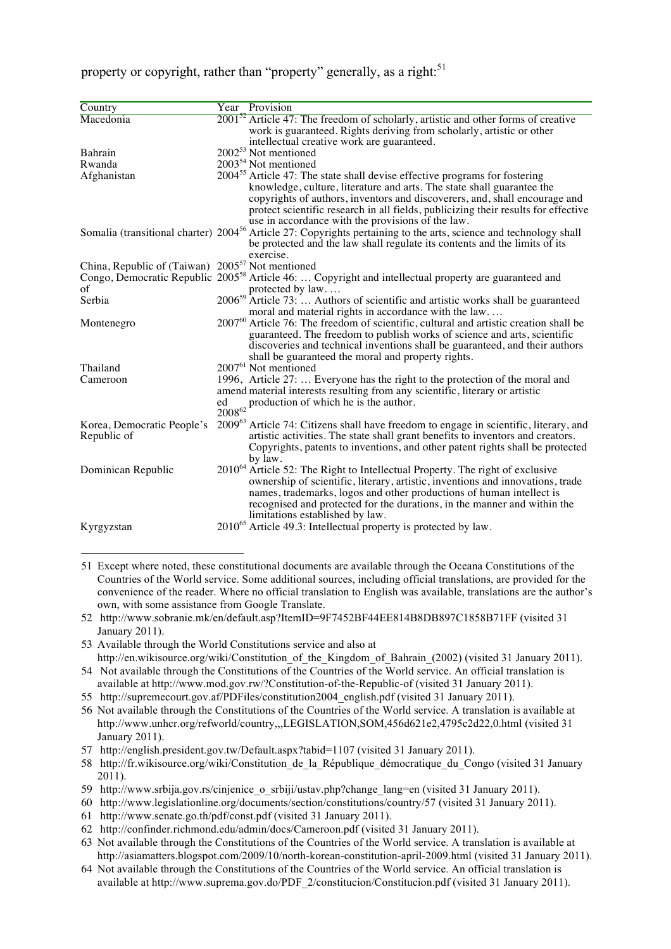property or copyright, rather than "property" generally, as a right: $51$ 

| Country                                                      |                   | Year Provision                                                                                                                                                                                                                                                                                                                                                                            |
|--------------------------------------------------------------|-------------------|-------------------------------------------------------------------------------------------------------------------------------------------------------------------------------------------------------------------------------------------------------------------------------------------------------------------------------------------------------------------------------------------|
| Macedonia                                                    |                   | $200152$ Article 47: The freedom of scholarly, artistic and other forms of creative                                                                                                                                                                                                                                                                                                       |
|                                                              |                   | work is guaranteed. Rights deriving from scholarly, artistic or other                                                                                                                                                                                                                                                                                                                     |
|                                                              |                   | intellectual creative work are guaranteed.                                                                                                                                                                                                                                                                                                                                                |
| Bahrain                                                      |                   | 2002 <sup>53</sup> Not mentioned                                                                                                                                                                                                                                                                                                                                                          |
| Rwanda                                                       |                   | 2003 <sup>54</sup> Not mentioned                                                                                                                                                                                                                                                                                                                                                          |
| Afghanistan                                                  |                   | 2004 <sup>55</sup> Article 47: The state shall devise effective programs for fostering<br>knowledge, culture, literature and arts. The state shall guarantee the<br>copyrights of authors, inventors and discoverers, and, shall encourage and<br>protect scientific research in all fields, publicizing their results for effective<br>use in accordance with the provisions of the law. |
|                                                              |                   | Somalia (transitional charter) 2004 <sup>56</sup> Article 27: Copyrights pertaining to the arts, science and technology shall<br>be protected and the law shall regulate its contents and the limits of its<br>exercise.                                                                                                                                                                  |
| China, Republic of (Taiwan) 2005 <sup>57</sup> Not mentioned |                   |                                                                                                                                                                                                                                                                                                                                                                                           |
|                                                              |                   | Congo, Democratic Republic 2005 <sup>58</sup> Article 46:  Copyright and intellectual property are guaranteed and                                                                                                                                                                                                                                                                         |
| of                                                           |                   | protected by law                                                                                                                                                                                                                                                                                                                                                                          |
| Serbia                                                       |                   | 2006 <sup>59</sup> Article 73:  Authors of scientific and artistic works shall be guaranteed                                                                                                                                                                                                                                                                                              |
|                                                              |                   | moral and material rights in accordance with the law                                                                                                                                                                                                                                                                                                                                      |
| Montenegro                                                   |                   | 2007 <sup>60</sup> Article 76: The freedom of scientific, cultural and artistic creation shall be<br>guaranteed. The freedom to publish works of science and arts, scientific<br>discoveries and technical inventions shall be guaranteed, and their authors<br>shall be guaranteed the moral and property rights.                                                                        |
| Thailand                                                     |                   | 2007 <sup>61</sup> Not mentioned                                                                                                                                                                                                                                                                                                                                                          |
| Cameroon                                                     | ed<br>$2008^{62}$ | 1996, Article 27:  Everyone has the right to the protection of the moral and<br>amend material interests resulting from any scientific, literary or artistic<br>production of which he is the author.                                                                                                                                                                                     |
| Korea, Democratic People's<br>Republic of                    |                   | 2009 <sup>63</sup> Article 74: Citizens shall have freedom to engage in scientific, literary, and<br>artistic activities. The state shall grant benefits to inventors and creators.<br>Copyrights, patents to inventions, and other patent rights shall be protected<br>by law.                                                                                                           |
| Dominican Republic                                           |                   | 2010 <sup>64</sup> Article 52: The Right to Intellectual Property. The right of exclusive<br>ownership of scientific, literary, artistic, inventions and innovations, trade<br>names, trademarks, logos and other productions of human intellect is<br>recognised and protected for the durations, in the manner and within the<br>limitations established by law.                        |
| Kyrgyzstan                                                   |                   | $2010^{65}$ Article 49.3: Intellectual property is protected by law.                                                                                                                                                                                                                                                                                                                      |
|                                                              |                   |                                                                                                                                                                                                                                                                                                                                                                                           |

- 51 Except where noted, these constitutional documents are available through the Oceana Constitutions of the Countries of the World service. Some additional sources, including official translations, are provided for the convenience of the reader. Where no official translation to English was available, translations are the author's own, with some assistance from Google Translate.
- 52 http://www.sobranie.mk/en/default.asp?ItemID=9F7452BF44EE814B8DB897C1858B71FF (visited 31 January 2011).
- 53 Available through the World Constitutions service and also at

 $\overline{a}$ 

http://en.wikisource.org/wiki/Constitution of the Kingdom of Bahrain (2002) (visited 31 January 2011). 54 Not available through the Constitutions of the Countries of the World service. An official translation is

- available at http://www.mod.gov.rw/?Constitution-of-the-Republic-of (visited 31 January 2011). 55 http://supremecourt.gov.af/PDFiles/constitution2004\_english.pdf (visited 31 January 2011).
- 56 Not available through the Constitutions of the Countries of the World service. A translation is available at http://www.unhcr.org/refworld/country,,,LEGISLATION,SOM,456d621e2,4795c2d22,0.html (visited 31 January 2011).
- 57 http://english.president.gov.tw/Default.aspx?tabid=1107 (visited 31 January 2011).
- 58 http://fr.wikisource.org/wiki/Constitution\_de\_la\_République\_démocratique\_du\_Congo (visited 31 January 2011).
- 59 http://www.srbija.gov.rs/cinjenice\_o\_srbiji/ustav.php?change\_lang=en (visited 31 January 2011).
- 60 http://www.legislationline.org/documents/section/constitutions/country/57 (visited 31 January 2011).
- 61 http://www.senate.go.th/pdf/const.pdf (visited 31 January 2011).
- 62 http://confinder.richmond.edu/admin/docs/Cameroon.pdf (visited 31 January 2011).
- 63 Not available through the Constitutions of the Countries of the World service. A translation is available at http://asiamatters.blogspot.com/2009/10/north-korean-constitution-april-2009.html (visited 31 January 2011).
- 64 Not available through the Constitutions of the Countries of the World service. An official translation is available at http://www.suprema.gov.do/PDF\_2/constitucion/Constitucion.pdf (visited 31 January 2011).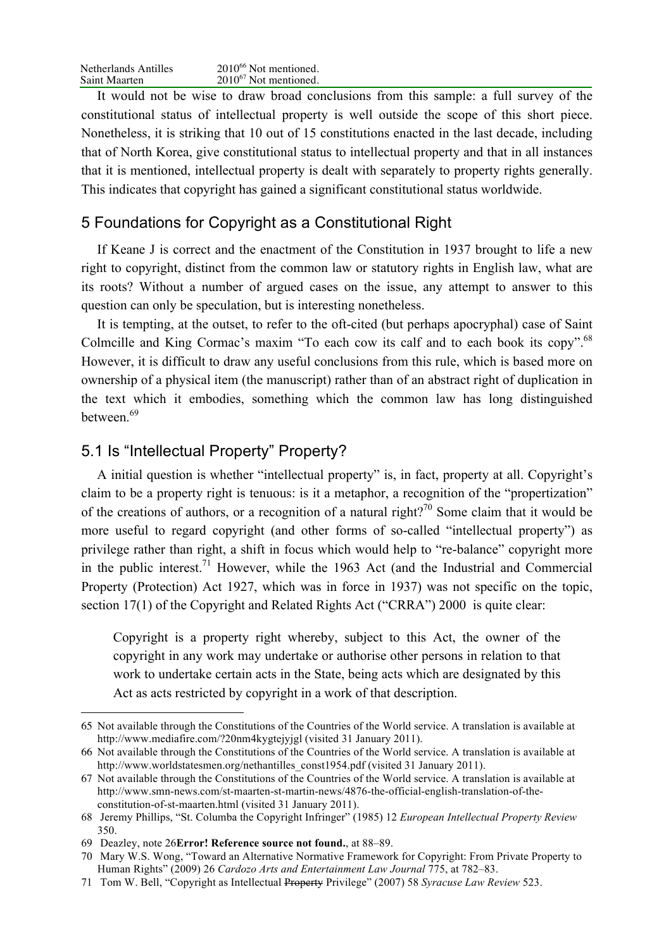It would not be wise to draw broad conclusions from this sample: a full survey of the constitutional status of intellectual property is well outside the scope of this short piece. Nonetheless, it is striking that 10 out of 15 constitutions enacted in the last decade, including that of North Korea, give constitutional status to intellectual property and that in all instances that it is mentioned, intellectual property is dealt with separately to property rights generally. This indicates that copyright has gained a significant constitutional status worldwide.

## 5 Foundations for Copyright as a Constitutional Right

If Keane J is correct and the enactment of the Constitution in 1937 brought to life a new right to copyright, distinct from the common law or statutory rights in English law, what are its roots? Without a number of argued cases on the issue, any attempt to answer to this question can only be speculation, but is interesting nonetheless.

It is tempting, at the outset, to refer to the oft-cited (but perhaps apocryphal) case of Saint Colmcille and King Cormac's maxim "To each cow its calf and to each book its copy".<sup>68</sup> However, it is difficult to draw any useful conclusions from this rule, which is based more on ownership of a physical item (the manuscript) rather than of an abstract right of duplication in the text which it embodies, something which the common law has long distinguished between.<sup>69</sup>

## 5.1 Is "Intellectual Property" Property?

A initial question is whether "intellectual property" is, in fact, property at all. Copyright's claim to be a property right is tenuous: is it a metaphor, a recognition of the "propertization" of the creations of authors, or a recognition of a natural right?<sup>70</sup> Some claim that it would be more useful to regard copyright (and other forms of so-called "intellectual property") as privilege rather than right, a shift in focus which would help to "re-balance" copyright more in the public interest.<sup>71</sup> However, while the 1963 Act (and the Industrial and Commercial Property (Protection) Act 1927, which was in force in 1937) was not specific on the topic, section 17(1) of the Copyright and Related Rights Act ("CRRA") 2000 is quite clear:

Copyright is a property right whereby, subject to this Act, the owner of the copyright in any work may undertake or authorise other persons in relation to that work to undertake certain acts in the State, being acts which are designated by this Act as acts restricted by copyright in a work of that description.

<sup>65</sup> Not available through the Constitutions of the Countries of the World service. A translation is available at http://www.mediafire.com/?20nm4kygtejyjgl (visited 31 January 2011).

<sup>66</sup> Not available through the Constitutions of the Countries of the World service. A translation is available at http://www.worldstatesmen.org/nethantilles\_const1954.pdf (visited 31 January 2011).

<sup>67</sup> Not available through the Constitutions of the Countries of the World service. A translation is available at http://www.smn-news.com/st-maarten-st-martin-news/4876-the-official-english-translation-of-theconstitution-of-st-maarten.html (visited 31 January 2011).

<sup>68</sup> Jeremy Phillips, "St. Columba the Copyright Infringer" (1985) 12 *European Intellectual Property Review* 350.

<sup>69</sup> Deazley, note 26**Error! Reference source not found.**, at 88–89.

<sup>70</sup> Mary W.S. Wong, "Toward an Alternative Normative Framework for Copyright: From Private Property to Human Rights" (2009) 26 *Cardozo Arts and Entertainment Law Journal* 775, at 782–83.

<sup>71</sup> Tom W. Bell, "Copyright as Intellectual Property Privilege" (2007) 58 *Syracuse Law Review* 523.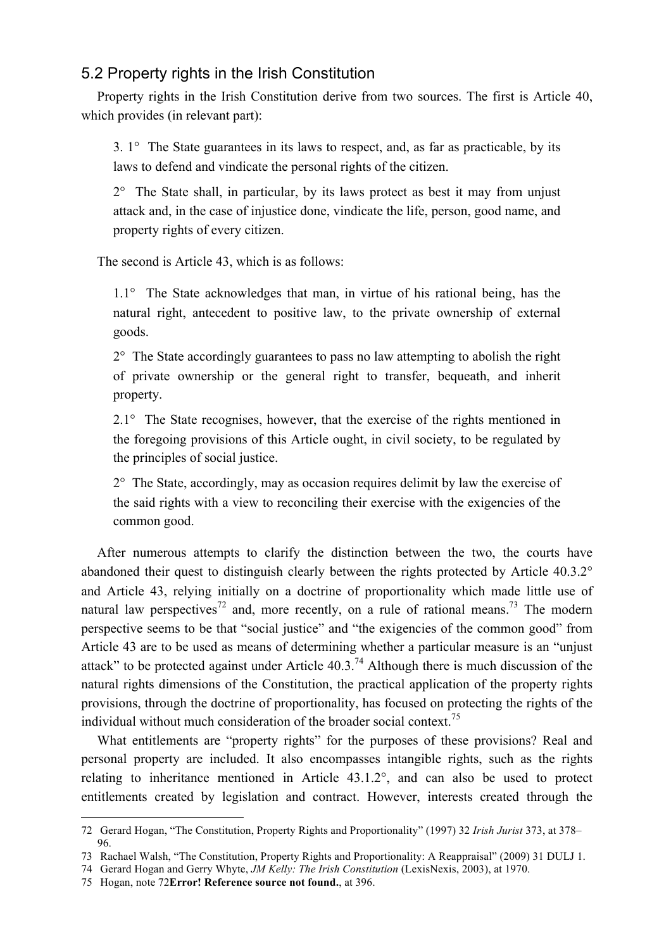## 5.2 Property rights in the Irish Constitution

Property rights in the Irish Constitution derive from two sources. The first is Article 40, which provides (in relevant part):

3. 1° The State guarantees in its laws to respect, and, as far as practicable, by its laws to defend and vindicate the personal rights of the citizen.

 $2^{\circ}$  The State shall, in particular, by its laws protect as best it may from unjust attack and, in the case of injustice done, vindicate the life, person, good name, and property rights of every citizen.

The second is Article 43, which is as follows:

1.1° The State acknowledges that man, in virtue of his rational being, has the natural right, antecedent to positive law, to the private ownership of external goods.

 $2^{\circ}$  The State accordingly guarantees to pass no law attempting to abolish the right of private ownership or the general right to transfer, bequeath, and inherit property.

2.1° The State recognises, however, that the exercise of the rights mentioned in the foregoing provisions of this Article ought, in civil society, to be regulated by the principles of social justice.

2° The State, accordingly, may as occasion requires delimit by law the exercise of the said rights with a view to reconciling their exercise with the exigencies of the common good.

After numerous attempts to clarify the distinction between the two, the courts have abandoned their quest to distinguish clearly between the rights protected by Article 40.3.2° and Article 43, relying initially on a doctrine of proportionality which made little use of natural law perspectives<sup>72</sup> and, more recently, on a rule of rational means.<sup>73</sup> The modern perspective seems to be that "social justice" and "the exigencies of the common good" from Article 43 are to be used as means of determining whether a particular measure is an "unjust attack" to be protected against under Article  $40.3<sup>74</sup>$  Although there is much discussion of the natural rights dimensions of the Constitution, the practical application of the property rights provisions, through the doctrine of proportionality, has focused on protecting the rights of the individual without much consideration of the broader social context.<sup>75</sup>

What entitlements are "property rights" for the purposes of these provisions? Real and personal property are included. It also encompasses intangible rights, such as the rights relating to inheritance mentioned in Article 43.1.2°, and can also be used to protect entitlements created by legislation and contract. However, interests created through the

 <sup>72</sup> Gerard Hogan, "The Constitution, Property Rights and Proportionality" (1997) 32 *Irish Jurist* 373, at 378– 96.

<sup>73</sup> Rachael Walsh, "The Constitution, Property Rights and Proportionality: A Reappraisal" (2009) 31 DULJ 1.

<sup>74</sup> Gerard Hogan and Gerry Whyte, *JM Kelly: The Irish Constitution* (LexisNexis, 2003), at 1970.

<sup>75</sup> Hogan, note 72**Error! Reference source not found.**, at 396.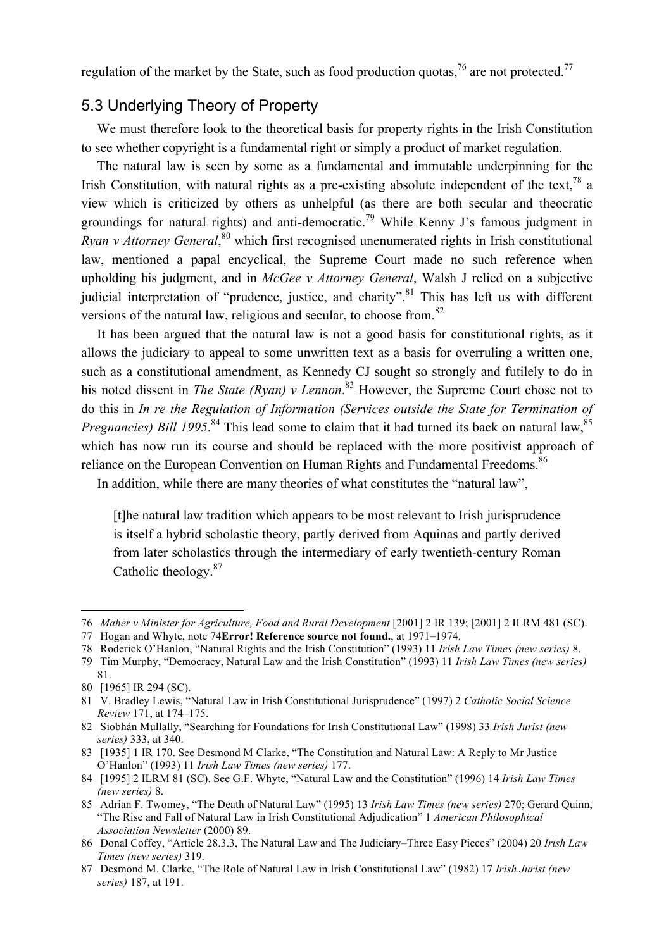regulation of the market by the State, such as food production quotas,  $^{76}$  are not protected.<sup>77</sup>

## 5.3 Underlying Theory of Property

We must therefore look to the theoretical basis for property rights in the Irish Constitution to see whether copyright is a fundamental right or simply a product of market regulation.

The natural law is seen by some as a fundamental and immutable underpinning for the Irish Constitution, with natural rights as a pre-existing absolute independent of the text,  $^{78}$  a view which is criticized by others as unhelpful (as there are both secular and theocratic groundings for natural rights) and anti-democratic.<sup>79</sup> While Kenny J's famous judgment in Ryan v Attorney General,<sup>80</sup> which first recognised unenumerated rights in Irish constitutional law, mentioned a papal encyclical, the Supreme Court made no such reference when upholding his judgment, and in *McGee v Attorney General*, Walsh J relied on a subjective judicial interpretation of "prudence, justice, and charity".<sup>81</sup> This has left us with different versions of the natural law, religious and secular, to choose from.<sup>82</sup>

It has been argued that the natural law is not a good basis for constitutional rights, as it allows the judiciary to appeal to some unwritten text as a basis for overruling a written one, such as a constitutional amendment, as Kennedy CJ sought so strongly and futilely to do in his noted dissent in *The State (Ryan) v Lennon*. 83 However, the Supreme Court chose not to do this in *In re the Regulation of Information (Services outside the State for Termination of Pregnancies) Bill 1995*<sup>84</sup> This lead some to claim that it had turned its back on natural law,<sup>85</sup> which has now run its course and should be replaced with the more positivist approach of reliance on the European Convention on Human Rights and Fundamental Freedoms.<sup>86</sup>

In addition, while there are many theories of what constitutes the "natural law",

[t]he natural law tradition which appears to be most relevant to Irish jurisprudence is itself a hybrid scholastic theory, partly derived from Aquinas and partly derived from later scholastics through the intermediary of early twentieth-century Roman Catholic theology.<sup>87</sup>

78 Roderick O'Hanlon, "Natural Rights and the Irish Constitution" (1993) 11 *Irish Law Times (new series)* 8.

<sup>76</sup> *Maher v Minister for Agriculture, Food and Rural Development* [2001] 2 IR 139; [2001] 2 ILRM 481 (SC).

<sup>77</sup> Hogan and Whyte, note 74**Error! Reference source not found.**, at 1971–1974.

<sup>79</sup> Tim Murphy, "Democracy, Natural Law and the Irish Constitution" (1993) 11 *Irish Law Times (new series)*

<sup>81.</sup>

<sup>80 [1965]</sup> IR 294 (SC).

<sup>81</sup> V. Bradley Lewis, "Natural Law in Irish Constitutional Jurisprudence" (1997) 2 *Catholic Social Science Review* 171, at 174–175.

<sup>82</sup> Siobhán Mullally, "Searching for Foundations for Irish Constitutional Law" (1998) 33 *Irish Jurist (new series)* 333, at 340.

<sup>83 [1935] 1</sup> IR 170. See Desmond M Clarke, "The Constitution and Natural Law: A Reply to Mr Justice O'Hanlon" (1993) 11 *Irish Law Times (new series)* 177.

<sup>84 [1995] 2</sup> ILRM 81 (SC). See G.F. Whyte, "Natural Law and the Constitution" (1996) 14 *Irish Law Times (new series)* 8.

<sup>85</sup> Adrian F. Twomey, "The Death of Natural Law" (1995) 13 *Irish Law Times (new series)* 270; Gerard Quinn, "The Rise and Fall of Natural Law in Irish Constitutional Adjudication" 1 *American Philosophical Association Newsletter* (2000) 89.

<sup>86</sup> Donal Coffey, "Article 28.3.3, The Natural Law and The Judiciary–Three Easy Pieces" (2004) 20 *Irish Law Times (new series)* 319.

<sup>87</sup> Desmond M. Clarke, "The Role of Natural Law in Irish Constitutional Law" (1982) 17 *Irish Jurist (new series)* 187, at 191.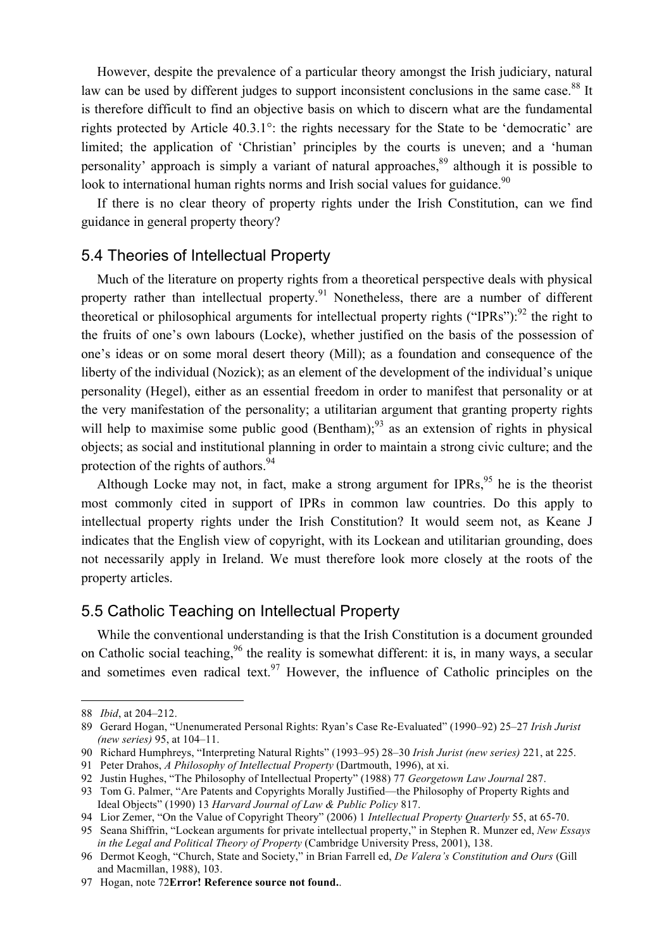However, despite the prevalence of a particular theory amongst the Irish judiciary, natural law can be used by different judges to support inconsistent conclusions in the same case.<sup>88</sup> It is therefore difficult to find an objective basis on which to discern what are the fundamental rights protected by Article 40.3.1°: the rights necessary for the State to be 'democratic' are limited; the application of 'Christian' principles by the courts is uneven; and a 'human personality' approach is simply a variant of natural approaches,<sup>89</sup> although it is possible to look to international human rights norms and Irish social values for guidance.<sup>90</sup>

If there is no clear theory of property rights under the Irish Constitution, can we find guidance in general property theory?

#### 5.4 Theories of Intellectual Property

Much of the literature on property rights from a theoretical perspective deals with physical property rather than intellectual property.<sup>91</sup> Nonetheless, there are a number of different theoretical or philosophical arguments for intellectual property rights ("IPRs"): $^{92}$  the right to the fruits of one's own labours (Locke), whether justified on the basis of the possession of one's ideas or on some moral desert theory (Mill); as a foundation and consequence of the liberty of the individual (Nozick); as an element of the development of the individual's unique personality (Hegel), either as an essential freedom in order to manifest that personality or at the very manifestation of the personality; a utilitarian argument that granting property rights will help to maximise some public good (Bentham);<sup>93</sup> as an extension of rights in physical objects; as social and institutional planning in order to maintain a strong civic culture; and the protection of the rights of authors.<sup>94</sup>

Although Locke may not, in fact, make a strong argument for IPRs,  $95$  he is the theorist most commonly cited in support of IPRs in common law countries. Do this apply to intellectual property rights under the Irish Constitution? It would seem not, as Keane J indicates that the English view of copyright, with its Lockean and utilitarian grounding, does not necessarily apply in Ireland. We must therefore look more closely at the roots of the property articles.

### 5.5 Catholic Teaching on Intellectual Property

While the conventional understanding is that the Irish Constitution is a document grounded on Catholic social teaching,<sup>96</sup> the reality is somewhat different: it is, in many ways, a secular and sometimes even radical text.<sup>97</sup> However, the influence of Catholic principles on the

 <sup>88</sup> *Ibid*, at 204–212.

<sup>89</sup> Gerard Hogan, "Unenumerated Personal Rights: Ryan's Case Re-Evaluated" (1990–92) 25–27 *Irish Jurist (new series)* 95, at 104–11.

<sup>90</sup> Richard Humphreys, "Interpreting Natural Rights" (1993–95) 28–30 *Irish Jurist (new series)* 221, at 225.

<sup>91</sup> Peter Drahos, *A Philosophy of Intellectual Property* (Dartmouth, 1996), at xi.

<sup>92</sup> Justin Hughes, "The Philosophy of Intellectual Property" (1988) 77 *Georgetown Law Journal* 287.

<sup>93</sup> Tom G. Palmer, "Are Patents and Copyrights Morally Justified—the Philosophy of Property Rights and Ideal Objects" (1990) 13 *Harvard Journal of Law & Public Policy* 817.

<sup>94</sup> Lior Zemer, "On the Value of Copyright Theory" (2006) 1 *Intellectual Property Quarterly* 55, at 65-70.

<sup>95</sup> Seana Shiffrin, "Lockean arguments for private intellectual property," in Stephen R. Munzer ed, *New Essays in the Legal and Political Theory of Property* (Cambridge University Press, 2001), 138.

<sup>96</sup> Dermot Keogh, "Church, State and Society," in Brian Farrell ed, *De Valera's Constitution and Ours* (Gill and Macmillan, 1988), 103.

<sup>97</sup> Hogan, note 72**Error! Reference source not found.**.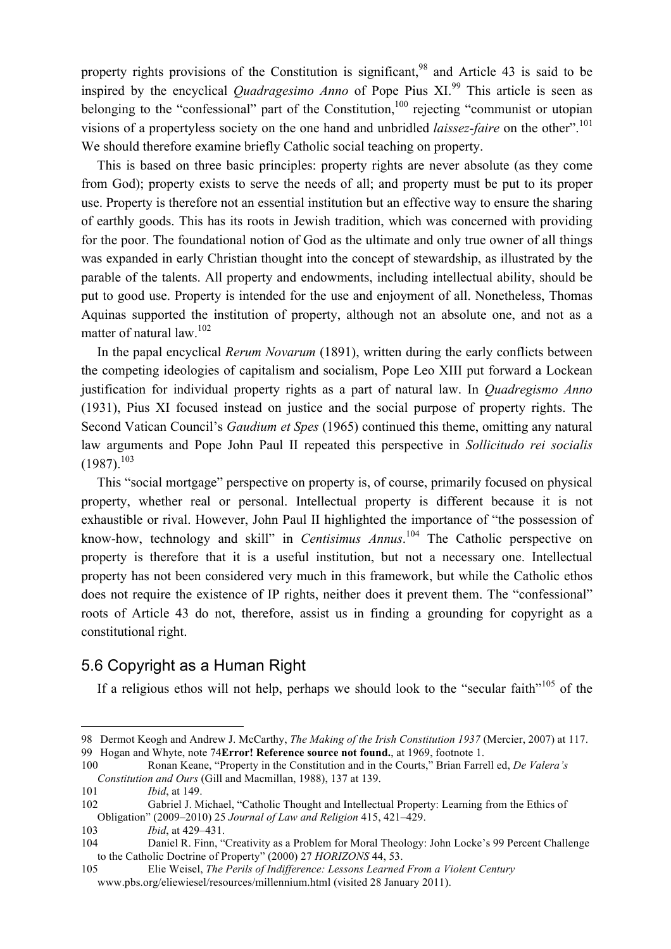property rights provisions of the Constitution is significant.<sup>98</sup> and Article 43 is said to be inspired by the encyclical *Quadragesimo Anno* of Pope Pius XI.<sup>99</sup> This article is seen as belonging to the "confessional" part of the Constitution,<sup>100</sup> rejecting "communist or utopian visions of a propertyless society on the one hand and unbridled *laissez-faire* on the other".<sup>101</sup> We should therefore examine briefly Catholic social teaching on property.

This is based on three basic principles: property rights are never absolute (as they come from God); property exists to serve the needs of all; and property must be put to its proper use. Property is therefore not an essential institution but an effective way to ensure the sharing of earthly goods. This has its roots in Jewish tradition, which was concerned with providing for the poor. The foundational notion of God as the ultimate and only true owner of all things was expanded in early Christian thought into the concept of stewardship, as illustrated by the parable of the talents. All property and endowments, including intellectual ability, should be put to good use. Property is intended for the use and enjoyment of all. Nonetheless, Thomas Aquinas supported the institution of property, although not an absolute one, and not as a matter of natural law.<sup>102</sup>

In the papal encyclical *Rerum Novarum* (1891), written during the early conflicts between the competing ideologies of capitalism and socialism, Pope Leo XIII put forward a Lockean justification for individual property rights as a part of natural law. In *Quadregismo Anno* (1931), Pius XI focused instead on justice and the social purpose of property rights. The Second Vatican Council's *Gaudium et Spes* (1965) continued this theme, omitting any natural law arguments and Pope John Paul II repeated this perspective in *Sollicitudo rei socialis*  $(1987)^{103}$ 

This "social mortgage" perspective on property is, of course, primarily focused on physical property, whether real or personal. Intellectual property is different because it is not exhaustible or rival. However, John Paul II highlighted the importance of "the possession of know-how, technology and skill" in *Centisimus Annus*. 104 The Catholic perspective on property is therefore that it is a useful institution, but not a necessary one. Intellectual property has not been considered very much in this framework, but while the Catholic ethos does not require the existence of IP rights, neither does it prevent them. The "confessional" roots of Article 43 do not, therefore, assist us in finding a grounding for copyright as a constitutional right.

### 5.6 Copyright as a Human Right

If a religious ethos will not help, perhaps we should look to the "secular faith"<sup>105</sup> of the

 <sup>98</sup> Dermot Keogh and Andrew J. McCarthy, *The Making of the Irish Constitution 1937* (Mercier, 2007) at 117. 99 Hogan and Whyte, note 74**Error! Reference source not found.**, at 1969, footnote 1.

<sup>100</sup> Ronan Keane, "Property in the Constitution and in the Courts," Brian Farrell ed, *De Valera's Constitution and Ours* (Gill and Macmillan, 1988), 137 at 139.

<sup>101</sup> *Ibid*, at 149.

<sup>102</sup> Gabriel J. Michael, "Catholic Thought and Intellectual Property: Learning from the Ethics of Obligation" (2009–2010) 25 *Journal of Law and Religion* 415, 421–429.

<sup>103</sup> *Ibid*, at 429–431.

<sup>104</sup> Daniel R. Finn, "Creativity as a Problem for Moral Theology: John Locke's 99 Percent Challenge to the Catholic Doctrine of Property" (2000) 27 *HORIZONS* 44, 53.

<sup>105</sup> Elie Weisel, *The Perils of Indifference: Lessons Learned From a Violent Century* www.pbs.org/eliewiesel/resources/millennium.html (visited 28 January 2011).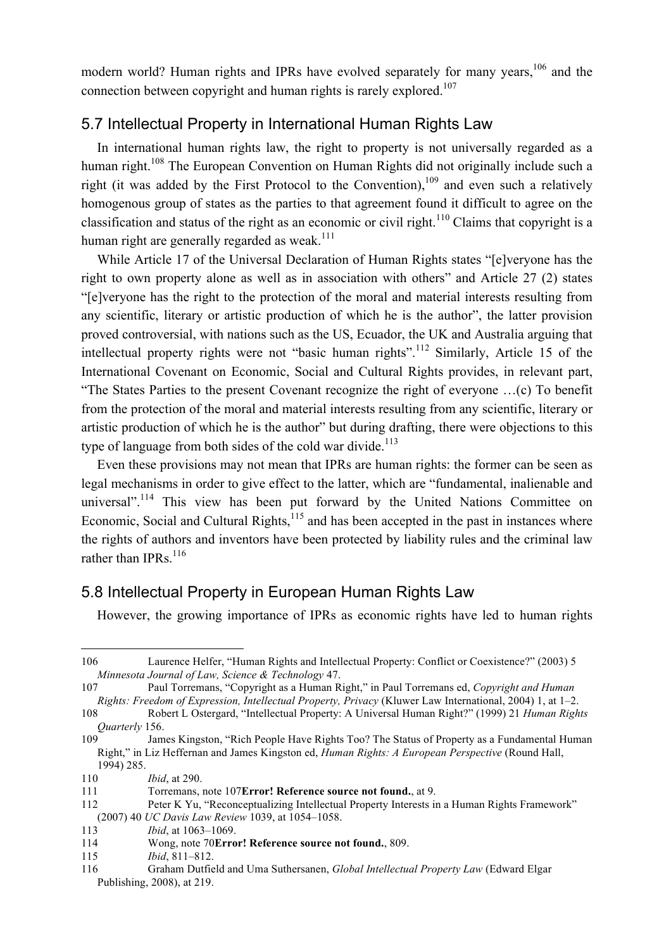modern world? Human rights and IPRs have evolved separately for many years,<sup>106</sup> and the connection between copyright and human rights is rarely explored.<sup>107</sup>

## 5.7 Intellectual Property in International Human Rights Law

In international human rights law, the right to property is not universally regarded as a human right.<sup>108</sup> The European Convention on Human Rights did not originally include such a right (it was added by the First Protocol to the Convention),  $109$  and even such a relatively homogenous group of states as the parties to that agreement found it difficult to agree on the classification and status of the right as an economic or civil right.<sup>110</sup> Claims that copyright is a human right are generally regarded as weak.<sup>111</sup>

While Article 17 of the Universal Declaration of Human Rights states "[e]veryone has the right to own property alone as well as in association with others" and Article 27 (2) states "[e]veryone has the right to the protection of the moral and material interests resulting from any scientific, literary or artistic production of which he is the author", the latter provision proved controversial, with nations such as the US, Ecuador, the UK and Australia arguing that intellectual property rights were not "basic human rights".112 Similarly, Article 15 of the International Covenant on Economic, Social and Cultural Rights provides, in relevant part, "The States Parties to the present Covenant recognize the right of everyone …(c) To benefit from the protection of the moral and material interests resulting from any scientific, literary or artistic production of which he is the author" but during drafting, there were objections to this type of language from both sides of the cold war divide.<sup>113</sup>

Even these provisions may not mean that IPRs are human rights: the former can be seen as legal mechanisms in order to give effect to the latter, which are "fundamental, inalienable and universal".<sup>114</sup> This view has been put forward by the United Nations Committee on Economic, Social and Cultural Rights, $115$  and has been accepted in the past in instances where the rights of authors and inventors have been protected by liability rules and the criminal law rather than IPRs. $116$ 

### 5.8 Intellectual Property in European Human Rights Law

However, the growing importance of IPRs as economic rights have led to human rights

 <sup>106</sup> Laurence Helfer, "Human Rights and Intellectual Property: Conflict or Coexistence?" (2003) 5 *Minnesota Journal of Law, Science & Technology* 47.

<sup>107</sup> Paul Torremans, "Copyright as a Human Right," in Paul Torremans ed, *Copyright and Human Rights: Freedom of Expression, Intellectual Property, Privacy* (Kluwer Law International, 2004) 1, at 1–2.

<sup>108</sup> Robert L Ostergard, "Intellectual Property: A Universal Human Right?" (1999) 21 *Human Rights Quarterly* 156.

<sup>109</sup> James Kingston, "Rich People Have Rights Too? The Status of Property as a Fundamental Human Right," in Liz Heffernan and James Kingston ed, *Human Rights: A European Perspective* (Round Hall, 1994) 285.

<sup>110</sup> *Ibid*, at 290.

<sup>111</sup> Torremans, note 107**Error! Reference source not found.**, at 9.

<sup>112</sup> Peter K Yu, "Reconceptualizing Intellectual Property Interests in a Human Rights Framework" (2007) 40 *UC Davis Law Review* 1039, at 1054–1058.

<sup>113</sup> *Ibid*, at 1063–1069.

<sup>114</sup> Wong, note 70**Error! Reference source not found.**, 809.

<sup>115</sup> *Ibid*, 811–812.

<sup>116</sup> Graham Dutfield and Uma Suthersanen, *Global Intellectual Property Law* (Edward Elgar Publishing, 2008), at 219.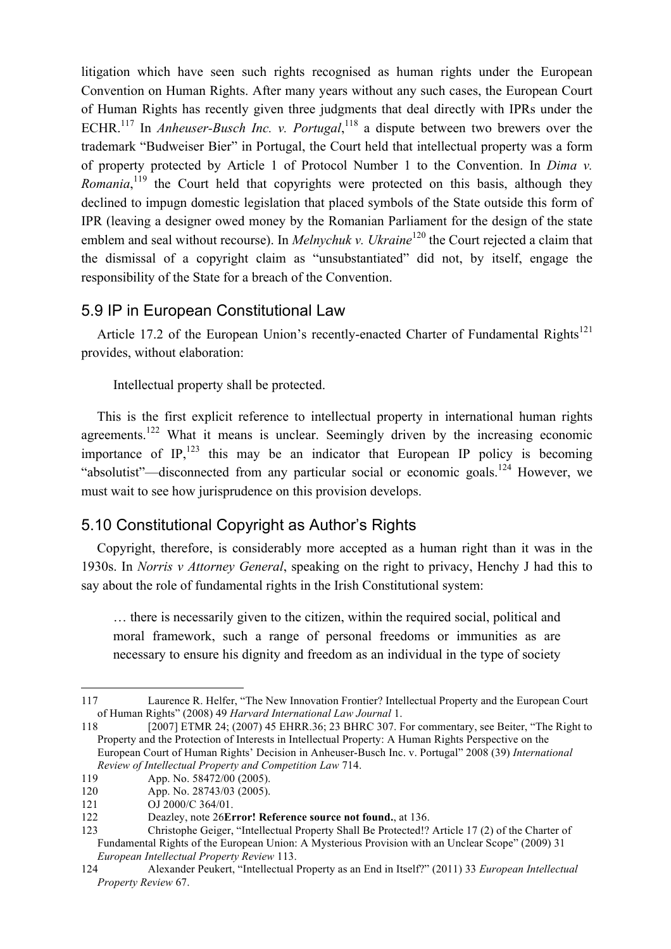litigation which have seen such rights recognised as human rights under the European Convention on Human Rights. After many years without any such cases, the European Court of Human Rights has recently given three judgments that deal directly with IPRs under the ECHR.<sup>117</sup> In *Anheuser-Busch Inc. v. Portugal*,<sup>118</sup> a dispute between two brewers over the trademark "Budweiser Bier" in Portugal, the Court held that intellectual property was a form of property protected by Article 1 of Protocol Number 1 to the Convention. In *Dima v. Romania*,<sup>119</sup> the Court held that copyrights were protected on this basis, although they declined to impugn domestic legislation that placed symbols of the State outside this form of IPR (leaving a designer owed money by the Romanian Parliament for the design of the state emblem and seal without recourse). In *Melnychuk v. Ukraine*<sup>120</sup> the Court rejected a claim that the dismissal of a copyright claim as "unsubstantiated" did not, by itself, engage the responsibility of the State for a breach of the Convention.

# 5.9 IP in European Constitutional Law

Article 17.2 of the European Union's recently-enacted Charter of Fundamental Rights<sup>121</sup> provides, without elaboration:

Intellectual property shall be protected.

This is the first explicit reference to intellectual property in international human rights agreements.<sup>122</sup> What it means is unclear. Seemingly driven by the increasing economic importance of IP, $^{123}$  this may be an indicator that European IP policy is becoming "absolutist"—disconnected from any particular social or economic goals.<sup>124</sup> However, we must wait to see how jurisprudence on this provision develops.

# 5.10 Constitutional Copyright as Author's Rights

Copyright, therefore, is considerably more accepted as a human right than it was in the 1930s. In *Norris v Attorney General*, speaking on the right to privacy, Henchy J had this to say about the role of fundamental rights in the Irish Constitutional system:

… there is necessarily given to the citizen, within the required social, political and moral framework, such a range of personal freedoms or immunities as are necessary to ensure his dignity and freedom as an individual in the type of society

 <sup>117</sup> Laurence R. Helfer, "The New Innovation Frontier? Intellectual Property and the European Court of Human Rights" (2008) 49 *Harvard International Law Journal* 1.

<sup>118 [2007]</sup> ETMR 24; (2007) 45 EHRR.36; 23 BHRC 307. For commentary, see Beiter, "The Right to Property and the Protection of Interests in Intellectual Property: A Human Rights Perspective on the European Court of Human Rights' Decision in Anheuser-Busch Inc. v. Portugal" 2008 (39) *International Review of Intellectual Property and Competition Law* 714.

<sup>119</sup> App. No. 58472/00 (2005).

<sup>120</sup> App. No. 28743/03 (2005).

<sup>121</sup> OJ 2000/C 364/01.

<sup>122</sup> Deazley, note 26**Error! Reference source not found.**, at 136.

<sup>123</sup> Christophe Geiger, "Intellectual Property Shall Be Protected!? Article 17 (2) of the Charter of Fundamental Rights of the European Union: A Mysterious Provision with an Unclear Scope" (2009) 31 *European Intellectual Property Review* 113.

<sup>124</sup> Alexander Peukert, "Intellectual Property as an End in Itself?" (2011) 33 *European Intellectual Property Review* 67.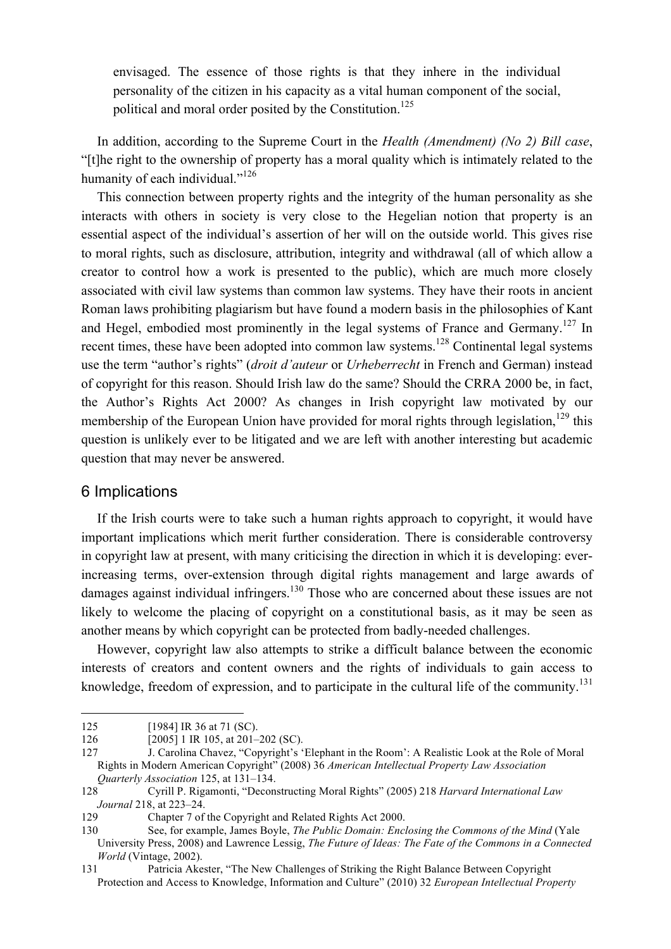envisaged. The essence of those rights is that they inhere in the individual personality of the citizen in his capacity as a vital human component of the social, political and moral order posited by the Constitution.<sup>125</sup>

In addition, according to the Supreme Court in the *Health (Amendment) (No 2) Bill case*, "[t]he right to the ownership of property has a moral quality which is intimately related to the humanity of each individual."<sup>126</sup>

This connection between property rights and the integrity of the human personality as she interacts with others in society is very close to the Hegelian notion that property is an essential aspect of the individual's assertion of her will on the outside world. This gives rise to moral rights, such as disclosure, attribution, integrity and withdrawal (all of which allow a creator to control how a work is presented to the public), which are much more closely associated with civil law systems than common law systems. They have their roots in ancient Roman laws prohibiting plagiarism but have found a modern basis in the philosophies of Kant and Hegel, embodied most prominently in the legal systems of France and Germany.<sup>127</sup> In recent times, these have been adopted into common law systems.<sup>128</sup> Continental legal systems use the term "author's rights" (*droit d'auteur* or *Urheberrecht* in French and German) instead of copyright for this reason. Should Irish law do the same? Should the CRRA 2000 be, in fact, the Author's Rights Act 2000? As changes in Irish copyright law motivated by our membership of the European Union have provided for moral rights through legislation,<sup>129</sup> this question is unlikely ever to be litigated and we are left with another interesting but academic question that may never be answered.

#### 6 Implications

If the Irish courts were to take such a human rights approach to copyright, it would have important implications which merit further consideration. There is considerable controversy in copyright law at present, with many criticising the direction in which it is developing: everincreasing terms, over-extension through digital rights management and large awards of damages against individual infringers.<sup>130</sup> Those who are concerned about these issues are not likely to welcome the placing of copyright on a constitutional basis, as it may be seen as another means by which copyright can be protected from badly-needed challenges.

However, copyright law also attempts to strike a difficult balance between the economic interests of creators and content owners and the rights of individuals to gain access to knowledge, freedom of expression, and to participate in the cultural life of the community.<sup>131</sup>

<sup>125 [1984]</sup> IR 36 at 71 (SC).

<sup>126</sup> **[2005]** 1 IR 105, at 201–202 (SC).

<sup>127</sup> J. Carolina Chavez, "Copyright's 'Elephant in the Room': A Realistic Look at the Role of Moral Rights in Modern American Copyright" (2008) 36 *American Intellectual Property Law Association Quarterly Association* 125, at 131–134.

<sup>128</sup> Cyrill P. Rigamonti, "Deconstructing Moral Rights" (2005) 218 *Harvard International Law Journal* 218, at 223–24.

<sup>129</sup> Chapter 7 of the Copyright and Related Rights Act 2000.

<sup>130</sup> See, for example, James Boyle, *The Public Domain: Enclosing the Commons of the Mind* (Yale University Press, 2008) and Lawrence Lessig, *The Future of Ideas: The Fate of the Commons in a Connected World* (Vintage, 2002).

<sup>131</sup> Patricia Akester, "The New Challenges of Striking the Right Balance Between Copyright Protection and Access to Knowledge, Information and Culture" (2010) 32 *European Intellectual Property*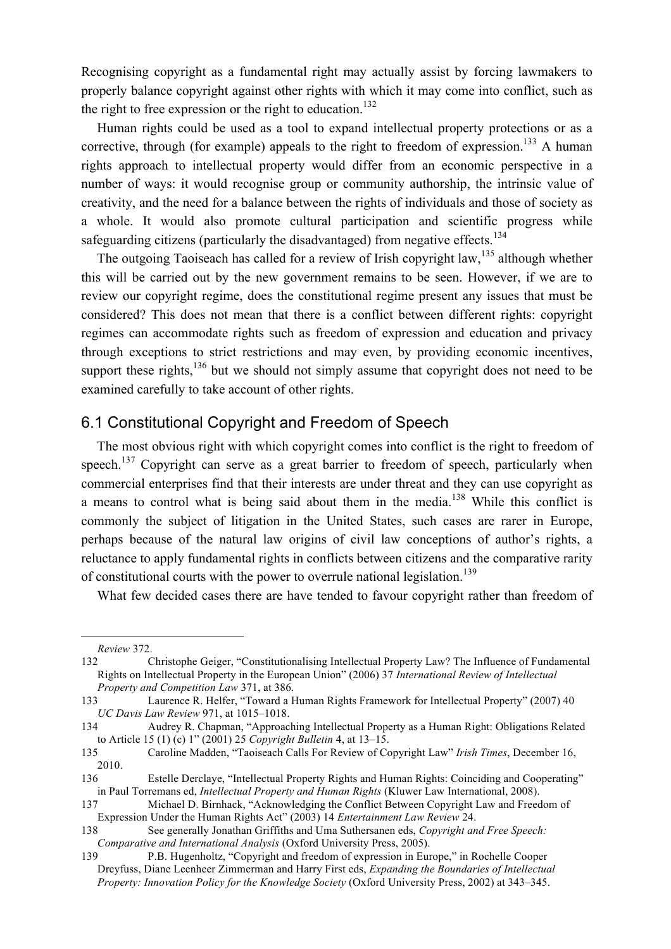Recognising copyright as a fundamental right may actually assist by forcing lawmakers to properly balance copyright against other rights with which it may come into conflict, such as the right to free expression or the right to education.<sup>132</sup>

Human rights could be used as a tool to expand intellectual property protections or as a corrective, through (for example) appeals to the right to freedom of expression.<sup>133</sup> A human rights approach to intellectual property would differ from an economic perspective in a number of ways: it would recognise group or community authorship, the intrinsic value of creativity, and the need for a balance between the rights of individuals and those of society as a whole. It would also promote cultural participation and scientific progress while safeguarding citizens (particularly the disadvantaged) from negative effects.<sup>134</sup>

The outgoing Taoiseach has called for a review of Irish copyright law,<sup>135</sup> although whether this will be carried out by the new government remains to be seen. However, if we are to review our copyright regime, does the constitutional regime present any issues that must be considered? This does not mean that there is a conflict between different rights: copyright regimes can accommodate rights such as freedom of expression and education and privacy through exceptions to strict restrictions and may even, by providing economic incentives, support these rights, $136$  but we should not simply assume that copyright does not need to be examined carefully to take account of other rights.

#### 6.1 Constitutional Copyright and Freedom of Speech

The most obvious right with which copyright comes into conflict is the right to freedom of speech.<sup>137</sup> Copyright can serve as a great barrier to freedom of speech, particularly when commercial enterprises find that their interests are under threat and they can use copyright as a means to control what is being said about them in the media.<sup>138</sup> While this conflict is commonly the subject of litigation in the United States, such cases are rarer in Europe, perhaps because of the natural law origins of civil law conceptions of author's rights, a reluctance to apply fundamental rights in conflicts between citizens and the comparative rarity of constitutional courts with the power to overrule national legislation.<sup>139</sup>

What few decided cases there are have tended to favour copyright rather than freedom of

*Review* 372.

<sup>132</sup> Christophe Geiger, "Constitutionalising Intellectual Property Law? The Influence of Fundamental Rights on Intellectual Property in the European Union" (2006) 37 *International Review of Intellectual Property and Competition Law* 371, at 386.

<sup>133</sup> Laurence R. Helfer, "Toward a Human Rights Framework for Intellectual Property" (2007) 40 *UC Davis Law Review* 971, at 1015–1018.

<sup>134</sup> Audrey R. Chapman, "Approaching Intellectual Property as a Human Right: Obligations Related to Article 15 (1) (c) 1" (2001) 25 *Copyright Bulletin* 4, at 13–15.

<sup>135</sup> Caroline Madden, "Taoiseach Calls For Review of Copyright Law" *Irish Times*, December 16, 2010.

<sup>136</sup> Estelle Derclaye, "Intellectual Property Rights and Human Rights: Coinciding and Cooperating" in Paul Torremans ed, *Intellectual Property and Human Rights* (Kluwer Law International, 2008).

<sup>137</sup> Michael D. Birnhack, "Acknowledging the Conflict Between Copyright Law and Freedom of Expression Under the Human Rights Act" (2003) 14 *Entertainment Law Review* 24.

<sup>138</sup> See generally Jonathan Griffiths and Uma Suthersanen eds, *Copyright and Free Speech: Comparative and International Analysis* (Oxford University Press, 2005).

<sup>139</sup> P.B. Hugenholtz, "Copyright and freedom of expression in Europe," in Rochelle Cooper Dreyfuss, Diane Leenheer Zimmerman and Harry First eds, *Expanding the Boundaries of Intellectual Property: Innovation Policy for the Knowledge Society* (Oxford University Press, 2002) at 343–345.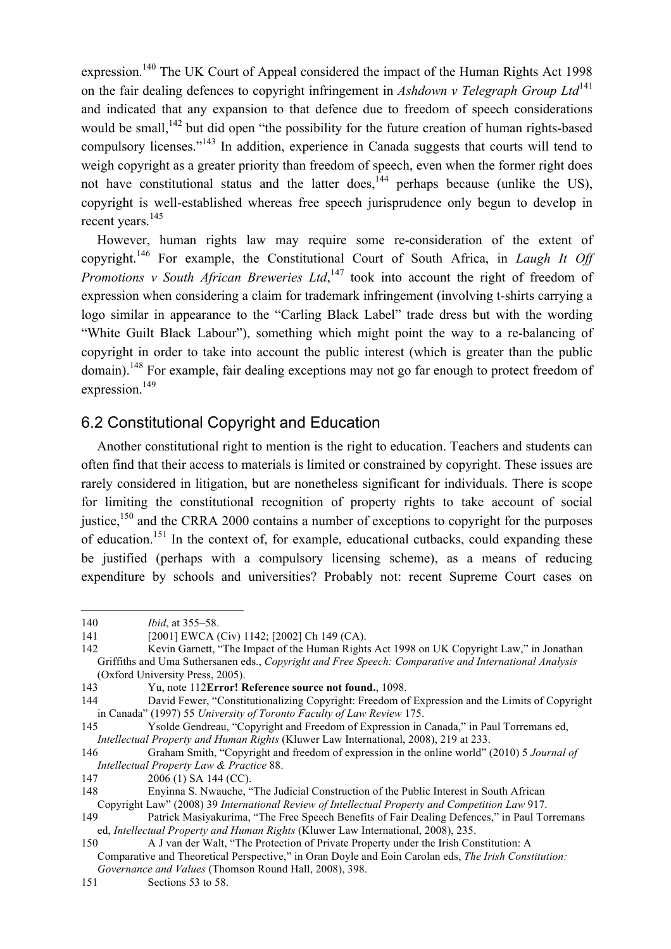expression.<sup>140</sup> The UK Court of Appeal considered the impact of the Human Rights Act 1998 on the fair dealing defences to copyright infringement in *Ashdown v Telegraph Group Ltd*<sup>141</sup> and indicated that any expansion to that defence due to freedom of speech considerations would be small,<sup>142</sup> but did open "the possibility for the future creation of human rights-based compulsory licenses."143 In addition, experience in Canada suggests that courts will tend to weigh copyright as a greater priority than freedom of speech, even when the former right does not have constitutional status and the latter does,<sup>144</sup> perhaps because (unlike the US), copyright is well-established whereas free speech jurisprudence only begun to develop in recent years.<sup>145</sup>

However, human rights law may require some re-consideration of the extent of copyright.146 For example, the Constitutional Court of South Africa, in *Laugh It Off Promotions v South African Breweries Ltd*,<sup>147</sup> took into account the right of freedom of expression when considering a claim for trademark infringement (involving t-shirts carrying a logo similar in appearance to the "Carling Black Label" trade dress but with the wording "White Guilt Black Labour"), something which might point the way to a re-balancing of copyright in order to take into account the public interest (which is greater than the public domain).<sup>148</sup> For example, fair dealing exceptions may not go far enough to protect freedom of expression.<sup>149</sup>

### 6.2 Constitutional Copyright and Education

Another constitutional right to mention is the right to education. Teachers and students can often find that their access to materials is limited or constrained by copyright. These issues are rarely considered in litigation, but are nonetheless significant for individuals. There is scope for limiting the constitutional recognition of property rights to take account of social justice,<sup>150</sup> and the CRRA 2000 contains a number of exceptions to copyright for the purposes of education.151 In the context of, for example, educational cutbacks, could expanding these be justified (perhaps with a compulsory licensing scheme), as a means of reducing expenditure by schools and universities? Probably not: recent Supreme Court cases on

 $\overline{a}$ 140 *Ibid*, at 355–58.

<sup>141 [2001]</sup> EWCA (Civ) 1142; [2002] Ch 149 (CA).

<sup>142</sup> Kevin Garnett, "The Impact of the Human Rights Act 1998 on UK Copyright Law," in Jonathan Griffiths and Uma Suthersanen eds., *Copyright and Free Speech: Comparative and International Analysis* (Oxford University Press, 2005).

<sup>143</sup> Yu, note 112**Error! Reference source not found.**, 1098.

<sup>144</sup> David Fewer, "Constitutionalizing Copyright: Freedom of Expression and the Limits of Copyright in Canada" (1997) 55 *University of Toronto Faculty of Law Review* 175.

<sup>145</sup> Ysolde Gendreau, "Copyright and Freedom of Expression in Canada," in Paul Torremans ed, *Intellectual Property and Human Rights* (Kluwer Law International, 2008), 219 at 233.

<sup>146</sup> Graham Smith, "Copyright and freedom of expression in the online world" (2010) 5 *Journal of Intellectual Property Law & Practice* 88.

<sup>147 2006 (1)</sup> SA 144 (CC).

<sup>148</sup> Enyinna S. Nwauche, "The Judicial Construction of the Public Interest in South African Copyright Law" (2008) 39 *International Review of Intellectual Property and Competition Law* 917.

<sup>149</sup> Patrick Masiyakurima, "The Free Speech Benefits of Fair Dealing Defences," in Paul Torremans ed, *Intellectual Property and Human Rights* (Kluwer Law International, 2008), 235.

<sup>150</sup> A J van der Walt, "The Protection of Private Property under the Irish Constitution: A Comparative and Theoretical Perspective," in Oran Doyle and Eoin Carolan eds, *The Irish Constitution: Governance and Values* (Thomson Round Hall, 2008), 398.

<sup>151</sup> Sections 53 to 58.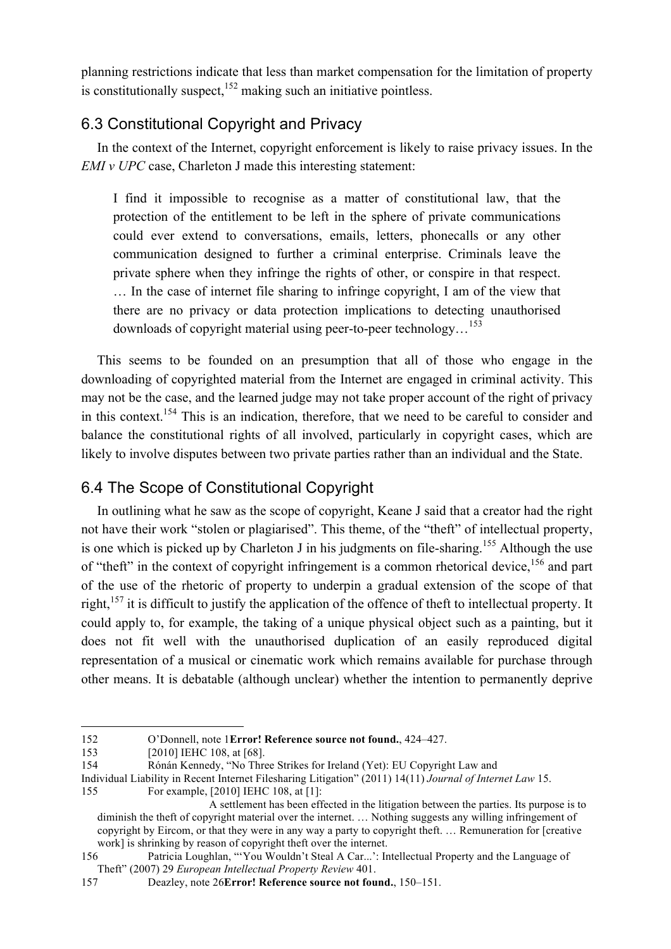planning restrictions indicate that less than market compensation for the limitation of property is constitutionally suspect, $152$  making such an initiative pointless.

# 6.3 Constitutional Copyright and Privacy

In the context of the Internet, copyright enforcement is likely to raise privacy issues. In the *EMI v UPC* case, Charleton J made this interesting statement:

I find it impossible to recognise as a matter of constitutional law, that the protection of the entitlement to be left in the sphere of private communications could ever extend to conversations, emails, letters, phonecalls or any other communication designed to further a criminal enterprise. Criminals leave the private sphere when they infringe the rights of other, or conspire in that respect. … In the case of internet file sharing to infringe copyright, I am of the view that there are no privacy or data protection implications to detecting unauthorised downloads of copyright material using peer-to-peer technology…<sup>153</sup>

This seems to be founded on an presumption that all of those who engage in the downloading of copyrighted material from the Internet are engaged in criminal activity. This may not be the case, and the learned judge may not take proper account of the right of privacy in this context.<sup>154</sup> This is an indication, therefore, that we need to be careful to consider and balance the constitutional rights of all involved, particularly in copyright cases, which are likely to involve disputes between two private parties rather than an individual and the State.

# 6.4 The Scope of Constitutional Copyright

In outlining what he saw as the scope of copyright, Keane J said that a creator had the right not have their work "stolen or plagiarised". This theme, of the "theft" of intellectual property, is one which is picked up by Charleton J in his judgments on file-sharing.<sup>155</sup> Although the use of "theft" in the context of copyright infringement is a common rhetorical device, <sup>156</sup> and part of the use of the rhetoric of property to underpin a gradual extension of the scope of that right,<sup>157</sup> it is difficult to justify the application of the offence of theft to intellectual property. It could apply to, for example, the taking of a unique physical object such as a painting, but it does not fit well with the unauthorised duplication of an easily reproduced digital representation of a musical or cinematic work which remains available for purchase through other means. It is debatable (although unclear) whether the intention to permanently deprive

 <sup>152</sup> O'Donnell, note 1**Error! Reference source not found.**, 424–427.

<sup>153 [2010]</sup> IEHC 108, at [68].

<sup>154</sup> Rónán Kennedy, "No Three Strikes for Ireland (Yet): EU Copyright Law and

Individual Liability in Recent Internet Filesharing Litigation" (2011) 14(11) *Journal of Internet Law* 15.

<sup>155</sup> For example, [2010] IEHC 108, at [1]:

A settlement has been effected in the litigation between the parties. Its purpose is to diminish the theft of copyright material over the internet. … Nothing suggests any willing infringement of copyright by Eircom, or that they were in any way a party to copyright theft. … Remuneration for [creative work] is shrinking by reason of copyright theft over the internet.

<sup>156</sup> Patricia Loughlan, "'You Wouldn't Steal A Car...': Intellectual Property and the Language of Theft" (2007) 29 *European Intellectual Property Review* 401.

<sup>157</sup> Deazley, note 26**Error! Reference source not found.**, 150–151.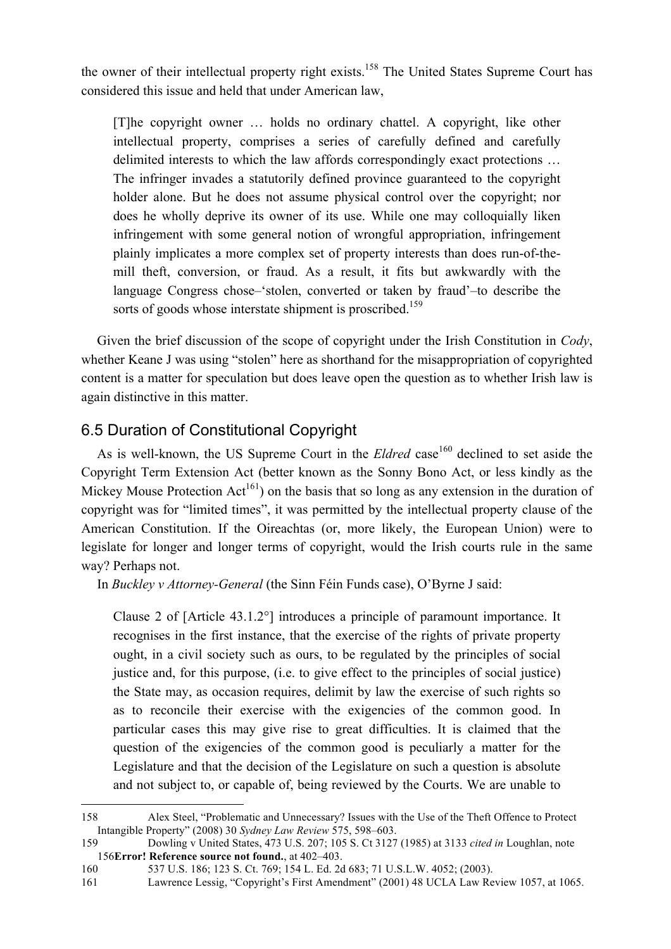the owner of their intellectual property right exists.<sup>158</sup> The United States Supreme Court has considered this issue and held that under American law,

[T]he copyright owner … holds no ordinary chattel. A copyright, like other intellectual property, comprises a series of carefully defined and carefully delimited interests to which the law affords correspondingly exact protections … The infringer invades a statutorily defined province guaranteed to the copyright holder alone. But he does not assume physical control over the copyright; nor does he wholly deprive its owner of its use. While one may colloquially liken infringement with some general notion of wrongful appropriation, infringement plainly implicates a more complex set of property interests than does run-of-themill theft, conversion, or fraud. As a result, it fits but awkwardly with the language Congress chose–'stolen, converted or taken by fraud'–to describe the sorts of goods whose interstate shipment is proscribed.<sup>159</sup>

Given the brief discussion of the scope of copyright under the Irish Constitution in *Cody*, whether Keane J was using "stolen" here as shorthand for the misappropriation of copyrighted content is a matter for speculation but does leave open the question as to whether Irish law is again distinctive in this matter.

# 6.5 Duration of Constitutional Copyright

As is well-known, the US Supreme Court in the *Eldred* case<sup>160</sup> declined to set aside the Copyright Term Extension Act (better known as the Sonny Bono Act, or less kindly as the Mickey Mouse Protection  $Act^{161}$  on the basis that so long as any extension in the duration of copyright was for "limited times", it was permitted by the intellectual property clause of the American Constitution. If the Oireachtas (or, more likely, the European Union) were to legislate for longer and longer terms of copyright, would the Irish courts rule in the same way? Perhaps not.

In *Buckley v Attorney-General* (the Sinn Féin Funds case), O'Byrne J said:

Clause 2 of [Article 43.1.2°] introduces a principle of paramount importance. It recognises in the first instance, that the exercise of the rights of private property ought, in a civil society such as ours, to be regulated by the principles of social justice and, for this purpose, (i.e. to give effect to the principles of social justice) the State may, as occasion requires, delimit by law the exercise of such rights so as to reconcile their exercise with the exigencies of the common good. In particular cases this may give rise to great difficulties. It is claimed that the question of the exigencies of the common good is peculiarly a matter for the Legislature and that the decision of the Legislature on such a question is absolute and not subject to, or capable of, being reviewed by the Courts. We are unable to

 <sup>158</sup> Alex Steel, "Problematic and Unnecessary? Issues with the Use of the Theft Offence to Protect Intangible Property" (2008) 30 *Sydney Law Review* 575, 598–603.

<sup>159</sup> Dowling v United States, 473 U.S. 207; 105 S. Ct 3127 (1985) at 3133 *cited in* Loughlan, note 156**Error! Reference source not found.**, at 402–403.

<sup>160 537</sup> U.S. 186; 123 S. Ct. 769; 154 L. Ed. 2d 683; 71 U.S.L.W. 4052; (2003).

<sup>161</sup> Lawrence Lessig, "Copyright's First Amendment" (2001) 48 UCLA Law Review 1057, at 1065.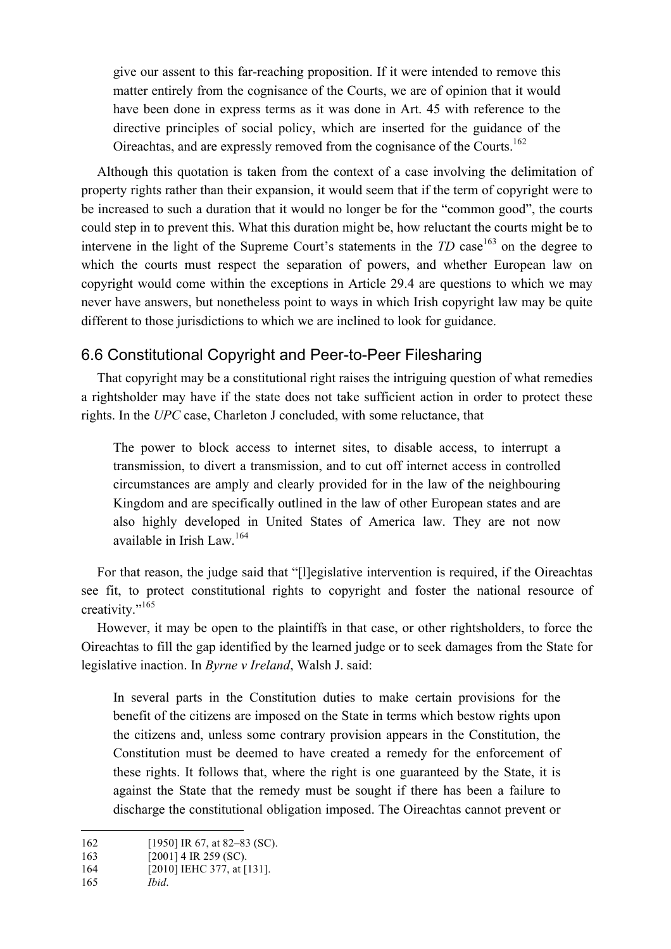give our assent to this far-reaching proposition. If it were intended to remove this matter entirely from the cognisance of the Courts, we are of opinion that it would have been done in express terms as it was done in Art. 45 with reference to the directive principles of social policy, which are inserted for the guidance of the Oireachtas, and are expressly removed from the cognisance of the Courts.162

Although this quotation is taken from the context of a case involving the delimitation of property rights rather than their expansion, it would seem that if the term of copyright were to be increased to such a duration that it would no longer be for the "common good", the courts could step in to prevent this. What this duration might be, how reluctant the courts might be to intervene in the light of the Supreme Court's statements in the  $TD$  case<sup>163</sup> on the degree to which the courts must respect the separation of powers, and whether European law on copyright would come within the exceptions in Article 29.4 are questions to which we may never have answers, but nonetheless point to ways in which Irish copyright law may be quite different to those jurisdictions to which we are inclined to look for guidance.

## 6.6 Constitutional Copyright and Peer-to-Peer Filesharing

That copyright may be a constitutional right raises the intriguing question of what remedies a rightsholder may have if the state does not take sufficient action in order to protect these rights. In the *UPC* case, Charleton J concluded, with some reluctance, that

The power to block access to internet sites, to disable access, to interrupt a transmission, to divert a transmission, and to cut off internet access in controlled circumstances are amply and clearly provided for in the law of the neighbouring Kingdom and are specifically outlined in the law of other European states and are also highly developed in United States of America law. They are not now available in Irish Law.<sup>164</sup>

For that reason, the judge said that "[l]egislative intervention is required, if the Oireachtas see fit, to protect constitutional rights to copyright and foster the national resource of creativity."165

However, it may be open to the plaintiffs in that case, or other rightsholders, to force the Oireachtas to fill the gap identified by the learned judge or to seek damages from the State for legislative inaction. In *Byrne v Ireland*, Walsh J. said:

In several parts in the Constitution duties to make certain provisions for the benefit of the citizens are imposed on the State in terms which bestow rights upon the citizens and, unless some contrary provision appears in the Constitution, the Constitution must be deemed to have created a remedy for the enforcement of these rights. It follows that, where the right is one guaranteed by the State, it is against the State that the remedy must be sought if there has been a failure to discharge the constitutional obligation imposed. The Oireachtas cannot prevent or

<sup>162 [1950]</sup> IR 67, at 82–83 (SC).

<sup>163 [2001] 4</sup> IR 259 (SC).

<sup>164</sup> [2010] IEHC 377, at [131].

<sup>165</sup> *Ibid*.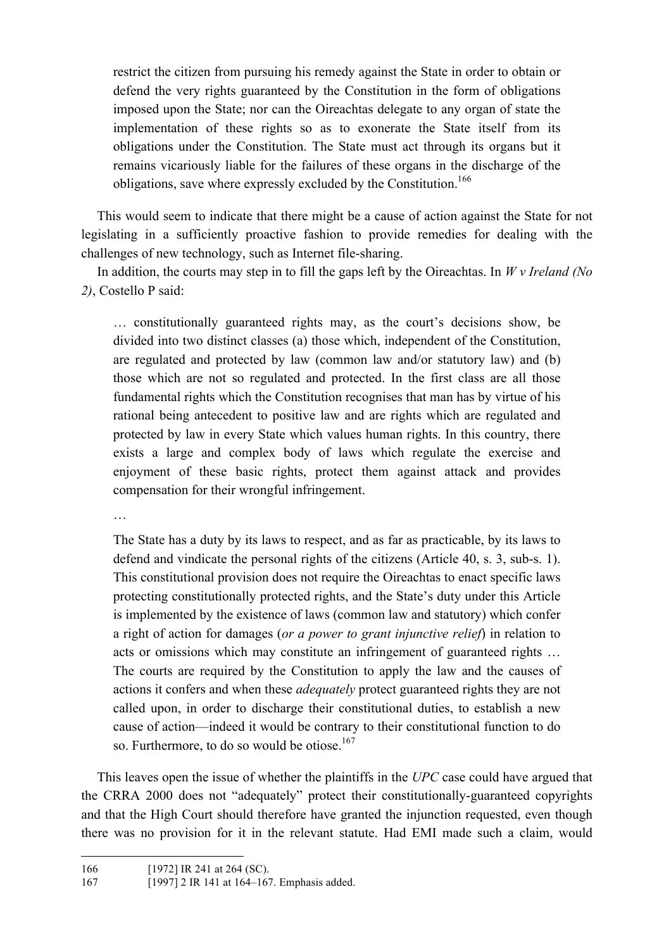restrict the citizen from pursuing his remedy against the State in order to obtain or defend the very rights guaranteed by the Constitution in the form of obligations imposed upon the State; nor can the Oireachtas delegate to any organ of state the implementation of these rights so as to exonerate the State itself from its obligations under the Constitution. The State must act through its organs but it remains vicariously liable for the failures of these organs in the discharge of the obligations, save where expressly excluded by the Constitution.<sup>166</sup>

This would seem to indicate that there might be a cause of action against the State for not legislating in a sufficiently proactive fashion to provide remedies for dealing with the challenges of new technology, such as Internet file-sharing.

In addition, the courts may step in to fill the gaps left by the Oireachtas. In *W v Ireland (No 2)*, Costello P said:

… constitutionally guaranteed rights may, as the court's decisions show, be divided into two distinct classes (a) those which, independent of the Constitution, are regulated and protected by law (common law and/or statutory law) and (b) those which are not so regulated and protected. In the first class are all those fundamental rights which the Constitution recognises that man has by virtue of his rational being antecedent to positive law and are rights which are regulated and protected by law in every State which values human rights. In this country, there exists a large and complex body of laws which regulate the exercise and enjoyment of these basic rights, protect them against attack and provides compensation for their wrongful infringement.

…

The State has a duty by its laws to respect, and as far as practicable, by its laws to defend and vindicate the personal rights of the citizens (Article 40, s. 3, sub-s. 1). This constitutional provision does not require the Oireachtas to enact specific laws protecting constitutionally protected rights, and the State's duty under this Article is implemented by the existence of laws (common law and statutory) which confer a right of action for damages (*or a power to grant injunctive relief*) in relation to acts or omissions which may constitute an infringement of guaranteed rights … The courts are required by the Constitution to apply the law and the causes of actions it confers and when these *adequately* protect guaranteed rights they are not called upon, in order to discharge their constitutional duties, to establish a new cause of action—indeed it would be contrary to their constitutional function to do so. Furthermore, to do so would be otiose.<sup>167</sup>

This leaves open the issue of whether the plaintiffs in the *UPC* case could have argued that the CRRA 2000 does not "adequately" protect their constitutionally-guaranteed copyrights and that the High Court should therefore have granted the injunction requested, even though there was no provision for it in the relevant statute. Had EMI made such a claim, would

<sup>166 [1972]</sup> IR 241 at 264 (SC).

<sup>167 [1997] 2</sup> IR 141 at 164–167. Emphasis added.